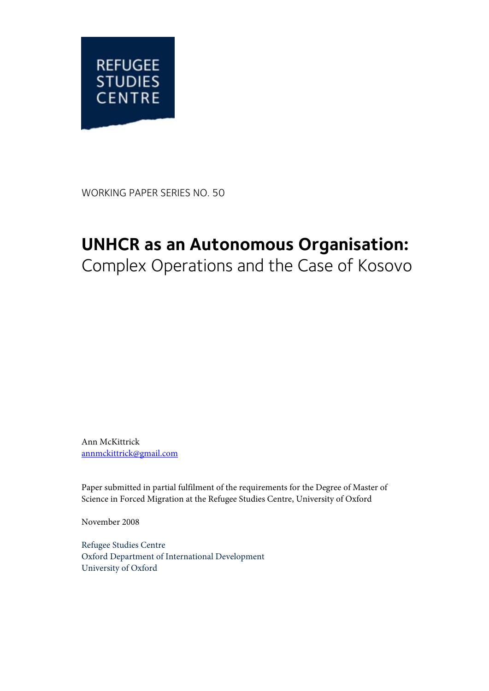

WORKING PAPER SERIES NO. 50

## **UNHCR as an Autonomous Organisation:**

Complex Operations and the Case of Kosovo

Ann McKittrick [annmckittrick@gmail.com](mailto:annmckittrick@gmail.com)

Paper submitted in partial fulfilment of the requirements for the Degree of Master of Science in Forced Migration at the Refugee Studies Centre, University of Oxford

November 2008

Refugee Studies Centre Oxford Department of International Development University of Oxford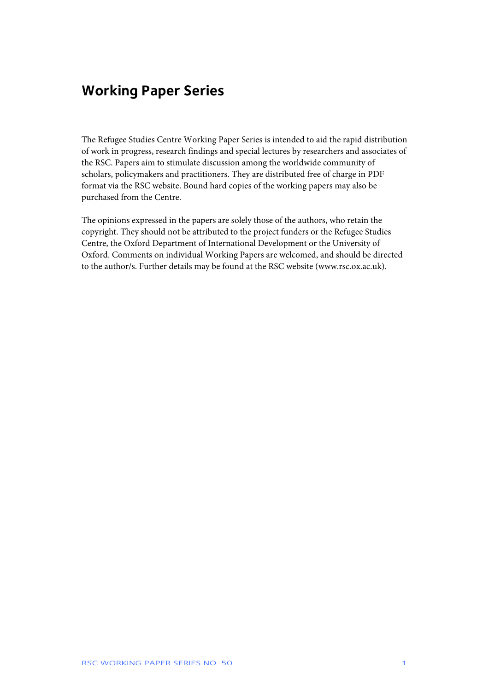### **Working Paper Series**

The Refugee Studies Centre Working Paper Series is intended to aid the rapid distribution of work in progress, research findings and special lectures by researchers and associates of the RSC. Papers aim to stimulate discussion among the worldwide community of scholars, policymakers and practitioners. They are distributed free of charge in PDF format via the RSC website. Bound hard copies of the working papers may also be purchased from the Centre.

The opinions expressed in the papers are solely those of the authors, who retain the copyright. They should not be attributed to the project funders or the Refugee Studies Centre, the Oxford Department of International Development or the University of Oxford. Comments on individual Working Papers are welcomed, and should be directed to the author/s. Further details may be found at the RSC website (www.rsc.ox.ac.uk).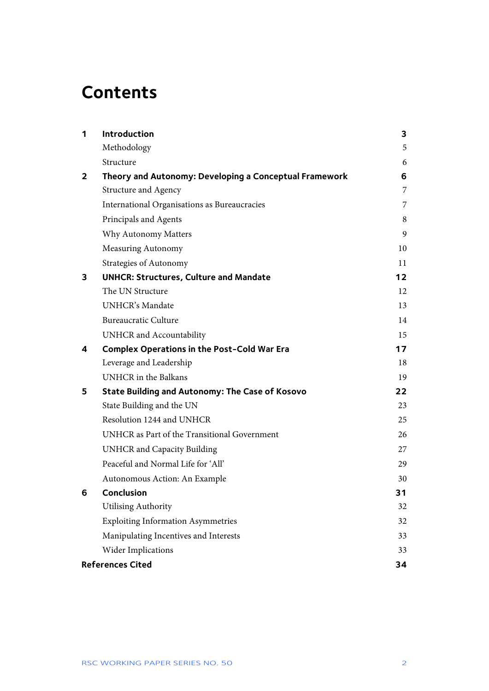# **Contents**

| 1 | <b>Introduction</b>                                    | 3   |
|---|--------------------------------------------------------|-----|
|   | Methodology                                            | 5   |
|   | Structure                                              | 6   |
| 2 | Theory and Autonomy: Developing a Conceptual Framework | 6   |
|   | Structure and Agency                                   | 7   |
|   | International Organisations as Bureaucracies           | 7   |
|   | Principals and Agents                                  | 8   |
|   | Why Autonomy Matters                                   | 9   |
|   | <b>Measuring Autonomy</b>                              | 10  |
|   | <b>Strategies of Autonomy</b>                          | 11  |
| 3 | <b>UNHCR: Structures, Culture and Mandate</b>          | 12  |
|   | The UN Structure                                       | 12  |
|   | <b>UNHCR's Mandate</b>                                 | 13  |
|   | <b>Bureaucratic Culture</b>                            | 14  |
|   | UNHCR and Accountability                               | 15  |
| 4 | <b>Complex Operations in the Post-Cold War Era</b>     | 17  |
|   | Leverage and Leadership                                | 18  |
|   | <b>UNHCR</b> in the Balkans                            | 19  |
| 5 | <b>State Building and Autonomy: The Case of Kosovo</b> | 22. |
|   | State Building and the UN                              | 23  |
|   | Resolution 1244 and UNHCR                              | 25  |
|   | UNHCR as Part of the Transitional Government           | 26  |
|   | <b>UNHCR</b> and Capacity Building                     | 27  |
|   | Peaceful and Normal Life for 'All'                     | 29  |
|   | Autonomous Action: An Example                          | 30  |
| 6 | <b>Conclusion</b>                                      | 31  |
|   | <b>Utilising Authority</b>                             | 32  |
|   | <b>Exploiting Information Asymmetries</b>              | 32  |
|   | Manipulating Incentives and Interests                  | 33  |
|   | Wider Implications                                     | 33  |
|   | <b>References Cited</b>                                | 34  |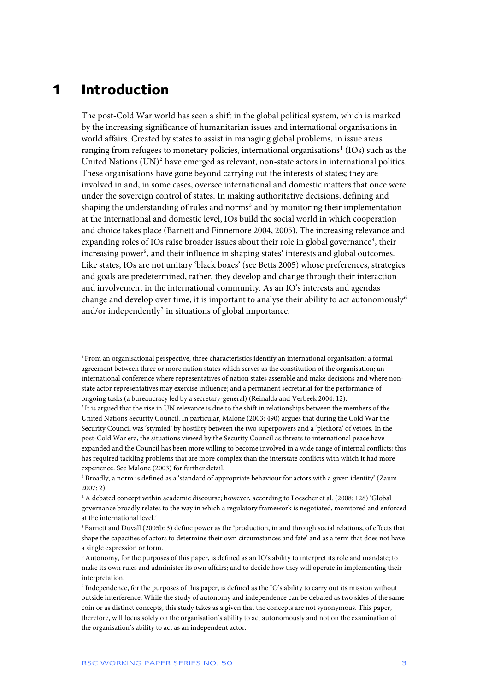### <span id="page-3-0"></span>**1 Introduction**

j

The post-Cold War world has seen a shift in the global political system, which is marked by the increasing significance of humanitarian issues and international organisations in world affairs. Created by states to assist in managing global problems, in issue areas ranging from refugees to monetary policies, international organisations<sup>[1](#page-3-1)</sup> (IOs) such as the United Nations (UN)<sup>[2](#page-3-2)</sup> have emerged as relevant, non-state actors in international politics. These organisations have gone beyond carrying out the interests of states; they are involved in and, in some cases, oversee international and domestic matters that once were under the sovereign control of states. In making authoritative decisions, defining and shaping the understanding of rules and norms<sup>[3](#page-3-3)</sup> and by monitoring their implementation at the international and domestic level, IOs build the social world in which cooperation and choice takes place (Barnett and Finnemore 2004, 2005). The increasing relevance and expanding roles of IOs raise broader issues about their role in global governance<sup>[4](#page-3-4)</sup>, their increasing power<sup>[5](#page-3-5)</sup>, and their influence in shaping states' interests and global outcomes. Like states, IOs are not unitary 'black boxes' (see Betts 2005) whose preferences, strategies and goals are predetermined, rather, they develop and change through their interaction and involvement in the international community. As an IO's interests and agendas change and develop over time, it is important to analyse their ability to act autonomously<sup>[6](#page-3-6)</sup> and/or independently<sup>[7](#page-3-7)</sup> in situations of global importance.

<span id="page-3-1"></span><sup>1</sup> From an organisational perspective, three characteristics identify an international organisation: a formal agreement between three or more nation states which serves as the constitution of the organisation; an international conference where representatives of nation states assemble and make decisions and where nonstate actor representatives may exercise influence; and a permanent secretariat for the performance of ongoing tasks (a bureaucracy led by a secretary-general) (Reinalda and Verbeek 2004: 12).

<span id="page-3-2"></span><sup>&</sup>lt;sup>2</sup>It is argued that the rise in UN relevance is due to the shift in relationships between the members of the United Nations Security Council. In particular, Malone (2003: 490) argues that during the Cold War the Security Council was 'stymied' by hostility between the two superpowers and a 'plethora' of vetoes. In the post-Cold War era, the situations viewed by the Security Council as threats to international peace have expanded and the Council has been more willing to become involved in a wide range of internal conflicts; this has required tackling problems that are more complex than the interstate conflicts with which it had more experience. See Malone (2003) for further detail.

<span id="page-3-3"></span><sup>3</sup> Broadly, a norm is defined as a 'standard of appropriate behaviour for actors with a given identity' (Zaum 2007: 2).

<span id="page-3-4"></span><sup>4</sup> A debated concept within academic discourse; however, according to Loescher et al. (2008: 128) 'Global governance broadly relates to the way in which a regulatory framework is negotiated, monitored and enforced at the international level.'

<span id="page-3-5"></span><sup>5</sup> Barnett and Duvall (2005b: 3) define power as the 'production, in and through social relations, of effects that shape the capacities of actors to determine their own circumstances and fate' and as a term that does not have a single expression or form.

<span id="page-3-6"></span><sup>6</sup> Autonomy, for the purposes of this paper, is defined as an IO's ability to interpret its role and mandate; to make its own rules and administer its own affairs; and to decide how they will operate in implementing their interpretation.

<span id="page-3-7"></span><sup>7</sup> Independence, for the purposes of this paper, is defined as the IO's ability to carry out its mission without outside interference. While the study of autonomy and independence can be debated as two sides of the same coin or as distinct concepts, this study takes as a given that the concepts are not synonymous. This paper, therefore, will focus solely on the organisation's ability to act autonomously and not on the examination of the organisation's ability to act as an independent actor.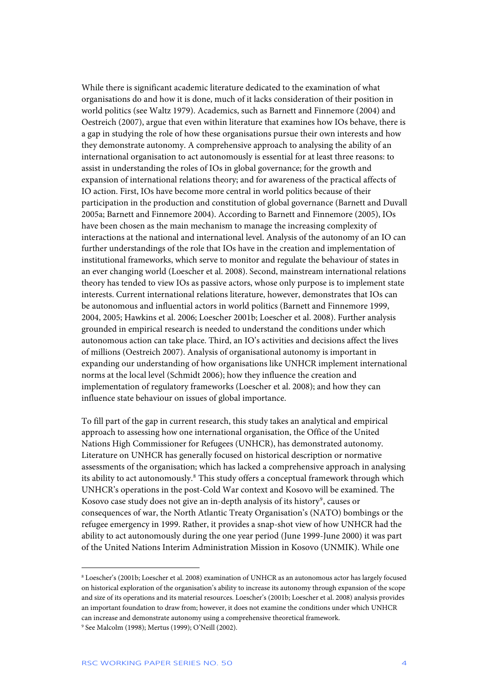While there is significant academic literature dedicated to the examination of what organisations do and how it is done, much of it lacks consideration of their position in world politics (see Waltz 1979). Academics, such as Barnett and Finnemore (2004) and Oestreich (2007), argue that even within literature that examines how IOs behave, there is a gap in studying the role of how these organisations pursue their own interests and how they demonstrate autonomy. A comprehensive approach to analysing the ability of an international organisation to act autonomously is essential for at least three reasons: to assist in understanding the roles of IOs in global governance; for the growth and expansion of international relations theory; and for awareness of the practical affects of IO action. First, IOs have become more central in world politics because of their participation in the production and constitution of global governance (Barnett and Duvall 2005a; Barnett and Finnemore 2004). According to Barnett and Finnemore (2005), IOs have been chosen as the main mechanism to manage the increasing complexity of interactions at the national and international level. Analysis of the autonomy of an IO can further understandings of the role that IOs have in the creation and implementation of institutional frameworks, which serve to monitor and regulate the behaviour of states in an ever changing world (Loescher et al. 2008). Second, mainstream international relations theory has tended to view IOs as passive actors, whose only purpose is to implement state interests. Current international relations literature, however, demonstrates that IOs can be autonomous and influential actors in world politics (Barnett and Finnemore 1999, 2004, 2005; Hawkins et al. 2006; Loescher 2001b; Loescher et al. 2008). Further analysis grounded in empirical research is needed to understand the conditions under which autonomous action can take place. Third, an IO's activities and decisions affect the lives of millions (Oestreich 2007). Analysis of organisational autonomy is important in expanding our understanding of how organisations like UNHCR implement international norms at the local level (Schmidt 2006); how they influence the creation and implementation of regulatory frameworks (Loescher et al. 2008); and how they can influence state behaviour on issues of global importance.

To fill part of the gap in current research, this study takes an analytical and empirical approach to assessing how one international organisation, the Office of the United Nations High Commissioner for Refugees (UNHCR), has demonstrated autonomy. Literature on UNHCR has generally focused on historical description or normative assessments of the organisation; which has lacked a comprehensive approach in analysing its ability to act autonomously.<sup>[8](#page-4-0)</sup> This study offers a conceptual framework through which UNHCR's operations in the post-Cold War context and Kosovo will be examined. The Kosovo case study does not give an in-depth analysis of its history<sup>[9](#page-4-1)</sup>, causes or consequences of war, the North Atlantic Treaty Organisation's (NATO) bombings or the refugee emergency in 1999. Rather, it provides a snap-shot view of how UNHCR had the ability to act autonomously during the one year period (June 1999-June 2000) it was part of the United Nations Interim Administration Mission in Kosovo (UNMIK). While one

<span id="page-4-1"></span><span id="page-4-0"></span><sup>8</sup> Loescher's (2001b; Loescher et al. 2008) examination of UNHCR as an autonomous actor has largely focused on historical exploration of the organisation's ability to increase its autonomy through expansion of the scope and size of its operations and its material resources. Loescher's (2001b; Loescher et al. 2008) analysis provides an important foundation to draw from; however, it does not examine the conditions under which UNHCR can increase and demonstrate autonomy using a comprehensive theoretical framework. 9 See Malcolm (1998); Mertus (1999); O'Neill (2002).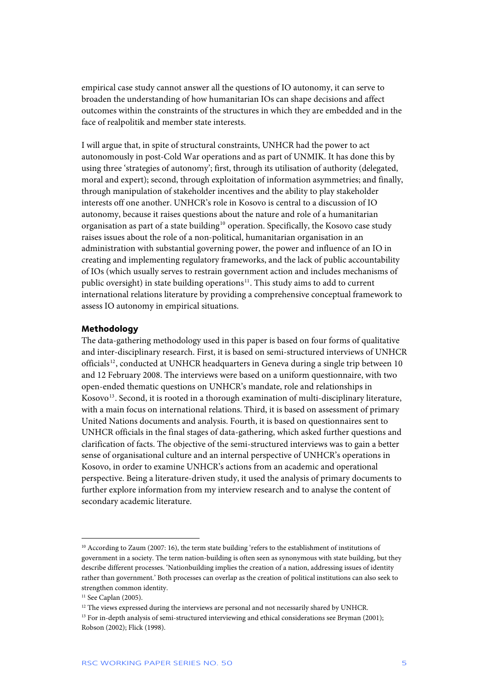<span id="page-5-0"></span>empirical case study cannot answer all the questions of IO autonomy, it can serve to broaden the understanding of how humanitarian IOs can shape decisions and affect outcomes within the constraints of the structures in which they are embedded and in the face of realpolitik and member state interests.

I will argue that, in spite of structural constraints, UNHCR had the power to act autonomously in post-Cold War operations and as part of UNMIK. It has done this by using three 'strategies of autonomy'; first, through its utilisation of authority (delegated, moral and expert); second, through exploitation of information asymmetries; and finally, through manipulation of stakeholder incentives and the ability to play stakeholder interests off one another. UNHCR's role in Kosovo is central to a discussion of IO autonomy, because it raises questions about the nature and role of a humanitarian organisation as part of a state building<sup>[10](#page-5-1)</sup> operation. Specifically, the Kosovo case study raises issues about the role of a non-political, humanitarian organisation in an administration with substantial governing power, the power and influence of an IO in creating and implementing regulatory frameworks, and the lack of public accountability of IOs (which usually serves to restrain government action and includes mechanisms of public oversight) in state building operations $11$ . This study aims to add to current international relations literature by providing a comprehensive conceptual framework to assess IO autonomy in empirical situations.

### **Methodology**

The data-gathering methodology used in this paper is based on four forms of qualitative and inter-disciplinary research. First, it is based on semi-structured interviews of UNHCR officials<sup>[12](#page-5-3)</sup>, conducted at UNHCR headquarters in Geneva during a single trip between 10 and 12 February 2008. The interviews were based on a uniform questionnaire, with two open-ended thematic questions on UNHCR's mandate, role and relationships in Kosovo<sup>[13](#page-5-4)</sup>. Second, it is rooted in a thorough examination of multi-disciplinary literature, with a main focus on international relations. Third, it is based on assessment of primary United Nations documents and analysis. Fourth, it is based on questionnaires sent to UNHCR officials in the final stages of data-gathering, which asked further questions and clarification of facts. The objective of the semi-structured interviews was to gain a better sense of organisational culture and an internal perspective of UNHCR's operations in Kosovo, in order to examine UNHCR's actions from an academic and operational perspective. Being a literature-driven study, it used the analysis of primary documents to further explore information from my interview research and to analyse the content of secondary academic literature.

<span id="page-5-1"></span><sup>10</sup> According to Zaum (2007: 16), the term state building 'refers to the establishment of institutions of government in a society. The term nation-building is often seen as synonymous with state building, but they describe different processes. 'Nationbuilding implies the creation of a nation, addressing issues of identity rather than government.' Both processes can overlap as the creation of political institutions can also seek to strengthen common identity.

<span id="page-5-2"></span><sup>&</sup>lt;sup>11</sup> See Caplan (2005).

<span id="page-5-3"></span><sup>&</sup>lt;sup>12</sup> The views expressed during the interviews are personal and not necessarily shared by UNHCR.

<span id="page-5-4"></span><sup>&</sup>lt;sup>13</sup> For in-depth analysis of semi-structured interviewing and ethical considerations see Bryman (2001); Robson (2002); Flick (1998).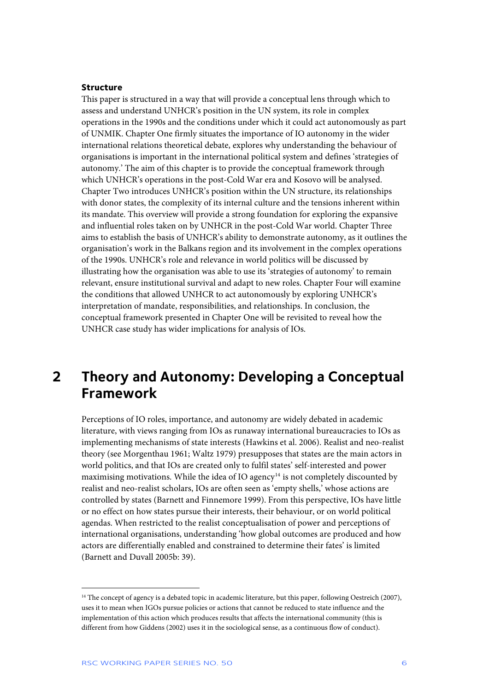### <span id="page-6-0"></span>**Structure**

This paper is structured in a way that will provide a conceptual lens through which to assess and understand UNHCR's position in the UN system, its role in complex operations in the 1990s and the conditions under which it could act autonomously as part of UNMIK. Chapter One firmly situates the importance of IO autonomy in the wider international relations theoretical debate, explores why understanding the behaviour of organisations is important in the international political system and defines 'strategies of autonomy.' The aim of this chapter is to provide the conceptual framework through which UNHCR's operations in the post-Cold War era and Kosovo will be analysed. Chapter Two introduces UNHCR's position within the UN structure, its relationships with donor states, the complexity of its internal culture and the tensions inherent within its mandate. This overview will provide a strong foundation for exploring the expansive and influential roles taken on by UNHCR in the post-Cold War world. Chapter Three aims to establish the basis of UNHCR's ability to demonstrate autonomy, as it outlines the organisation's work in the Balkans region and its involvement in the complex operations of the 1990s. UNHCR's role and relevance in world politics will be discussed by illustrating how the organisation was able to use its 'strategies of autonomy' to remain relevant, ensure institutional survival and adapt to new roles. Chapter Four will examine the conditions that allowed UNHCR to act autonomously by exploring UNHCR's interpretation of mandate, responsibilities, and relationships. In conclusion, the conceptual framework presented in Chapter One will be revisited to reveal how the UNHCR case study has wider implications for analysis of IOs.

### **2 Theory and Autonomy: Developing a Conceptual Framework**

Perceptions of IO roles, importance, and autonomy are widely debated in academic literature, with views ranging from IOs as runaway international bureaucracies to IOs as implementing mechanisms of state interests (Hawkins et al. 2006). Realist and neo-realist theory (see Morgenthau 1961; Waltz 1979) presupposes that states are the main actors in world politics, and that IOs are created only to fulfil states' self-interested and power maximising motivations. While the idea of IO agency $14$  is not completely discounted by realist and neo-realist scholars, IOs are often seen as 'empty shells,' whose actions are controlled by states (Barnett and Finnemore 1999). From this perspective, IOs have little or no effect on how states pursue their interests, their behaviour, or on world political agendas. When restricted to the realist conceptualisation of power and perceptions of international organisations, understanding 'how global outcomes are produced and how actors are differentially enabled and constrained to determine their fates' is limited (Barnett and Duvall 2005b: 39).

<span id="page-6-1"></span><sup>&</sup>lt;sup>14</sup> The concept of agency is a debated topic in academic literature, but this paper, following Oestreich (2007), uses it to mean when IGOs pursue policies or actions that cannot be reduced to state influence and the implementation of this action which produces results that affects the international community (this is different from how Giddens (2002) uses it in the sociological sense, as a continuous flow of conduct).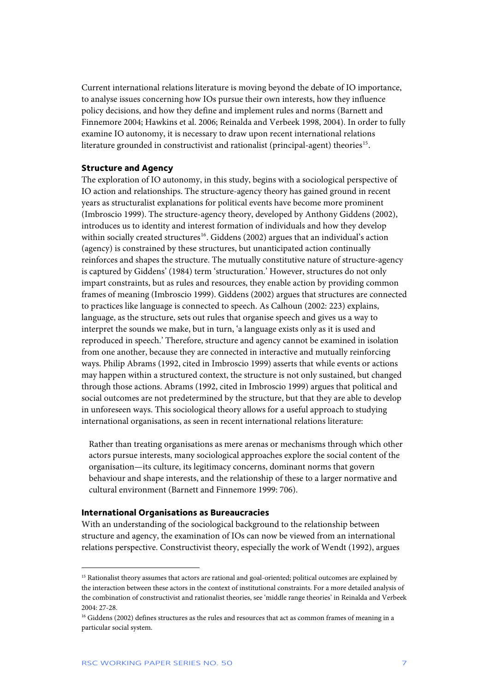<span id="page-7-0"></span>Current international relations literature is moving beyond the debate of IO importance, to analyse issues concerning how IOs pursue their own interests, how they influence policy decisions, and how they define and implement rules and norms (Barnett and Finnemore 2004; Hawkins et al. 2006; Reinalda and Verbeek 1998, 2004). In order to fully examine IO autonomy, it is necessary to draw upon recent international relations literature grounded in constructivist and rationalist (principal-agent) theories<sup>[15](#page-7-1)</sup>.

### **Structure and Agency**

The exploration of IO autonomy, in this study, begins with a sociological perspective of IO action and relationships. The structure-agency theory has gained ground in recent years as structuralist explanations for political events have become more prominent (Imbroscio 1999). The structure-agency theory, developed by Anthony Giddens (2002), introduces us to identity and interest formation of individuals and how they develop within socially created structures<sup>[16](#page-7-2)</sup>. Giddens (2002) argues that an individual's action (agency) is constrained by these structures, but unanticipated action continually reinforces and shapes the structure. The mutually constitutive nature of structure-agency is captured by Giddens' (1984) term 'structuration.' However, structures do not only impart constraints, but as rules and resources, they enable action by providing common frames of meaning (Imbroscio 1999). Giddens (2002) argues that structures are connected to practices like language is connected to speech. As Calhoun (2002: 223) explains, language, as the structure, sets out rules that organise speech and gives us a way to interpret the sounds we make, but in turn, 'a language exists only as it is used and reproduced in speech.' Therefore, structure and agency cannot be examined in isolation from one another, because they are connected in interactive and mutually reinforcing ways. Philip Abrams (1992, cited in Imbroscio 1999) asserts that while events or actions may happen within a structured context, the structure is not only sustained, but changed through those actions. Abrams (1992, cited in Imbroscio 1999) argues that political and social outcomes are not predetermined by the structure, but that they are able to develop in unforeseen ways. This sociological theory allows for a useful approach to studying international organisations, as seen in recent international relations literature:

Rather than treating organisations as mere arenas or mechanisms through which other actors pursue interests, many sociological approaches explore the social content of the organisation—its culture, its legitimacy concerns, dominant norms that govern behaviour and shape interests, and the relationship of these to a larger normative and cultural environment (Barnett and Finnemore 1999: 706).

### **International Organisations as Bureaucracies**

With an understanding of the sociological background to the relationship between structure and agency, the examination of IOs can now be viewed from an international relations perspective. Constructivist theory, especially the work of Wendt (1992), argues

<span id="page-7-1"></span><sup>&</sup>lt;sup>15</sup> Rationalist theory assumes that actors are rational and goal-oriented; political outcomes are explained by the interaction between these actors in the context of institutional constraints. For a more detailed analysis of the combination of constructivist and rationalist theories, see 'middle range theories' in Reinalda and Verbeek 2004: 27-28.

<span id="page-7-2"></span><sup>&</sup>lt;sup>16</sup> Giddens (2002) defines structures as the rules and resources that act as common frames of meaning in a particular social system.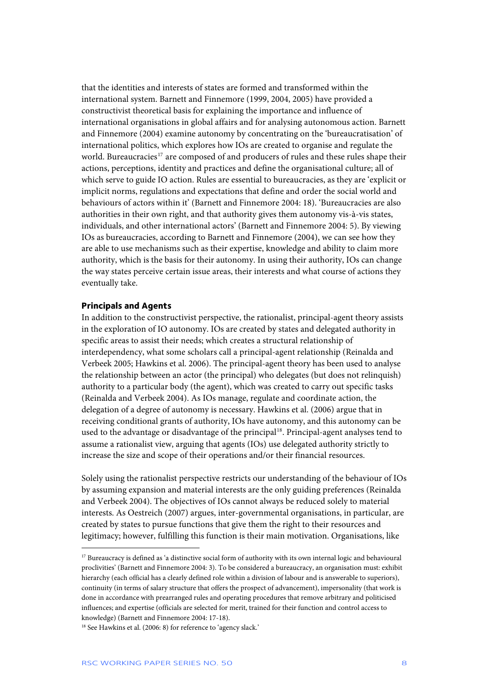<span id="page-8-0"></span>that the identities and interests of states are formed and transformed within the international system. Barnett and Finnemore (1999, 2004, 2005) have provided a constructivist theoretical basis for explaining the importance and influence of international organisations in global affairs and for analysing autonomous action. Barnett and Finnemore (2004) examine autonomy by concentrating on the 'bureaucratisation' of international politics, which explores how IOs are created to organise and regulate the world. Bureaucracies<sup>[17](#page-8-1)</sup> are composed of and producers of rules and these rules shape their actions, perceptions, identity and practices and define the organisational culture; all of which serve to guide IO action. Rules are essential to bureaucracies, as they are 'explicit or implicit norms, regulations and expectations that define and order the social world and behaviours of actors within it' (Barnett and Finnemore 2004: 18). 'Bureaucracies are also authorities in their own right, and that authority gives them autonomy vis-à-vis states, individuals, and other international actors' (Barnett and Finnemore 2004: 5). By viewing IOs as bureaucracies, according to Barnett and Finnemore (2004), we can see how they are able to use mechanisms such as their expertise, knowledge and ability to claim more authority, which is the basis for their autonomy. In using their authority, IOs can change the way states perceive certain issue areas, their interests and what course of actions they eventually take.

#### **Principals and Agents**

j

In addition to the constructivist perspective, the rationalist, principal-agent theory assists in the exploration of IO autonomy. IOs are created by states and delegated authority in specific areas to assist their needs; which creates a structural relationship of interdependency, what some scholars call a principal-agent relationship (Reinalda and Verbeek 2005; Hawkins et al. 2006). The principal-agent theory has been used to analyse the relationship between an actor (the principal) who delegates (but does not relinquish) authority to a particular body (the agent), which was created to carry out specific tasks (Reinalda and Verbeek 2004). As IOs manage, regulate and coordinate action, the delegation of a degree of autonomy is necessary. Hawkins et al. (2006) argue that in receiving conditional grants of authority, IOs have autonomy, and this autonomy can be used to the advantage or disadvantage of the principal<sup>[18](#page-8-2)</sup>. Principal-agent analyses tend to assume a rationalist view, arguing that agents (IOs) use delegated authority strictly to increase the size and scope of their operations and/or their financial resources.

Solely using the rationalist perspective restricts our understanding of the behaviour of IOs by assuming expansion and material interests are the only guiding preferences (Reinalda and Verbeek 2004). The objectives of IOs cannot always be reduced solely to material interests. As Oestreich (2007) argues, inter-governmental organisations, in particular, are created by states to pursue functions that give them the right to their resources and legitimacy; however, fulfilling this function is their main motivation. Organisations, like

<span id="page-8-1"></span><sup>&</sup>lt;sup>17</sup> Bureaucracy is defined as 'a distinctive social form of authority with its own internal logic and behavioural proclivities' (Barnett and Finnemore 2004: 3). To be considered a bureaucracy, an organisation must: exhibit hierarchy (each official has a clearly defined role within a division of labour and is answerable to superiors), continuity (in terms of salary structure that offers the prospect of advancement), impersonality (that work is done in accordance with prearranged rules and operating procedures that remove arbitrary and politicised influences; and expertise (officials are selected for merit, trained for their function and control access to knowledge) (Barnett and Finnemore 2004: 17-18).

<span id="page-8-2"></span><sup>&</sup>lt;sup>18</sup> See Hawkins et al. (2006: 8) for reference to 'agency slack.'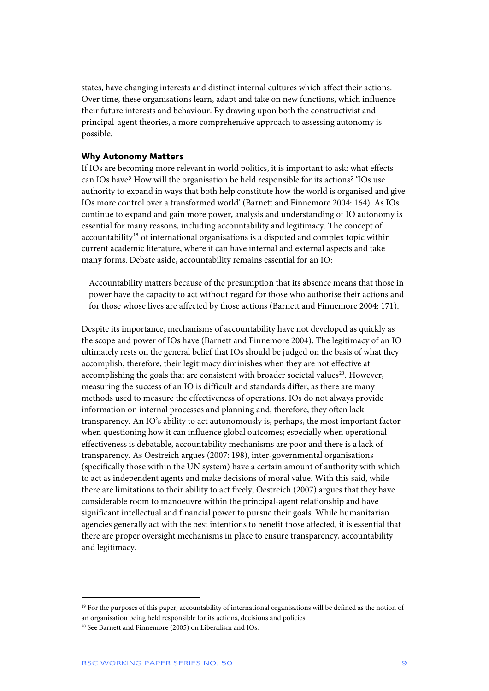<span id="page-9-0"></span>states, have changing interests and distinct internal cultures which affect their actions. Over time, these organisations learn, adapt and take on new functions, which influence their future interests and behaviour. By drawing upon both the constructivist and principal-agent theories, a more comprehensive approach to assessing autonomy is possible.

### **Why Autonomy Matters**

If IOs are becoming more relevant in world politics, it is important to ask: what effects can IOs have? How will the organisation be held responsible for its actions? 'IOs use authority to expand in ways that both help constitute how the world is organised and give IOs more control over a transformed world' (Barnett and Finnemore 2004: 164). As IOs continue to expand and gain more power, analysis and understanding of IO autonomy is essential for many reasons, including accountability and legitimacy. The concept of accountability<sup>[19](#page-9-1)</sup> of international organisations is a disputed and complex topic within current academic literature, where it can have internal and external aspects and take many forms. Debate aside, accountability remains essential for an IO:

Accountability matters because of the presumption that its absence means that those in power have the capacity to act without regard for those who authorise their actions and for those whose lives are affected by those actions (Barnett and Finnemore 2004: 171).

Despite its importance, mechanisms of accountability have not developed as quickly as the scope and power of IOs have (Barnett and Finnemore 2004). The legitimacy of an IO ultimately rests on the general belief that IOs should be judged on the basis of what they accomplish; therefore, their legitimacy diminishes when they are not effective at accomplishing the goals that are consistent with broader societal values<sup>[20](#page-9-2)</sup>. However, measuring the success of an IO is difficult and standards differ, as there are many methods used to measure the effectiveness of operations. IOs do not always provide information on internal processes and planning and, therefore, they often lack transparency. An IO's ability to act autonomously is, perhaps, the most important factor when questioning how it can influence global outcomes; especially when operational effectiveness is debatable, accountability mechanisms are poor and there is a lack of transparency. As Oestreich argues (2007: 198), inter-governmental organisations (specifically those within the UN system) have a certain amount of authority with which to act as independent agents and make decisions of moral value. With this said, while there are limitations to their ability to act freely, Oestreich (2007) argues that they have considerable room to manoeuvre within the principal-agent relationship and have significant intellectual and financial power to pursue their goals. While humanitarian agencies generally act with the best intentions to benefit those affected, it is essential that there are proper oversight mechanisms in place to ensure transparency, accountability and legitimacy.

<span id="page-9-1"></span><sup>&</sup>lt;sup>19</sup> For the purposes of this paper, accountability of international organisations will be defined as the notion of an organisation being held responsible for its actions, decisions and policies.

<span id="page-9-2"></span><sup>20</sup> See Barnett and Finnemore (2005) on Liberalism and IOs.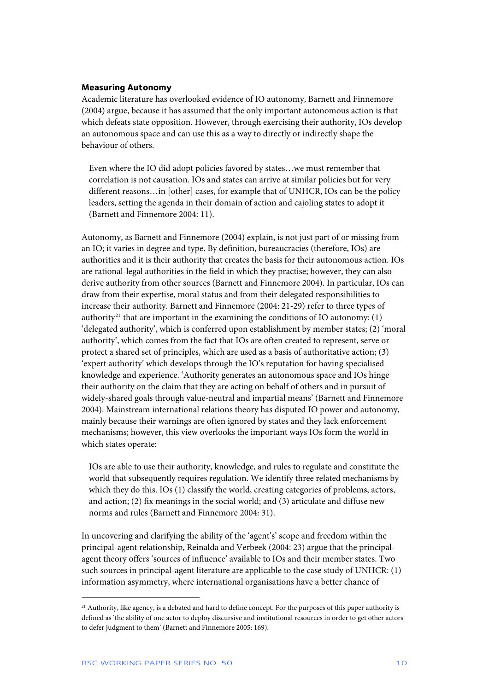### <span id="page-10-0"></span>**Measuring Autonomy**

Academic literature has overlooked evidence of IO autonomy, Barnett and Finnemore (2004) argue, because it has assumed that the only important autonomous action is that which defeats state opposition. However, through exercising their authority, IOs develop an autonomous space and can use this as a way to directly or indirectly shape the behaviour of others.

Even where the IO did adopt policies favored by states…we must remember that correlation is not causation. IOs and states can arrive at similar policies but for very different reasons…in [other] cases, for example that of UNHCR, IOs can be the policy leaders, setting the agenda in their domain of action and cajoling states to adopt it (Barnett and Finnemore 2004: 11).

Autonomy, as Barnett and Finnemore (2004) explain, is not just part of or missing from an IO; it varies in degree and type. By definition, bureaucracies (therefore, IOs) are authorities and it is their authority that creates the basis for their autonomous action. IOs are rational-legal authorities in the field in which they practise; however, they can also derive authority from other sources (Barnett and Finnemore 2004). In particular, IOs can draw from their expertise, moral status and from their delegated responsibilities to increase their authority. Barnett and Finnemore (2004: 21-29) refer to three types of authority<sup>[21](#page-10-1)</sup> that are important in the examining the conditions of IO autonomy: (1) 'delegated authority', which is conferred upon establishment by member states; (2) 'moral authority', which comes from the fact that IOs are often created to represent, serve or protect a shared set of principles, which are used as a basis of authoritative action; (3) 'expert authority' which develops through the IO's reputation for having specialised knowledge and experience. 'Authority generates an autonomous space and IOs hinge their authority on the claim that they are acting on behalf of others and in pursuit of widely-shared goals through value-neutral and impartial means' (Barnett and Finnemore 2004). Mainstream international relations theory has disputed IO power and autonomy, mainly because their warnings are often ignored by states and they lack enforcement mechanisms; however, this view overlooks the important ways IOs form the world in which states operate:

IOs are able to use their authority, knowledge, and rules to regulate and constitute the world that subsequently requires regulation. We identify three related mechanisms by which they do this. IOs (1) classify the world, creating categories of problems, actors, and action; (2) fix meanings in the social world; and (3) articulate and diffuse new norms and rules (Barnett and Finnemore 2004: 31).

In uncovering and clarifying the ability of the 'agent's' scope and freedom within the principal-agent relationship, Reinalda and Verbeek (2004: 23) argue that the principalagent theory offers 'sources of influence' available to IOs and their member states. Two such sources in principal-agent literature are applicable to the case study of UNHCR: (1) information asymmetry, where international organisations have a better chance of

<span id="page-10-1"></span><sup>&</sup>lt;sup>21</sup> Authority, like agency, is a debated and hard to define concept. For the purposes of this paper authority is defined as 'the ability of one actor to deploy discursive and institutional resources in order to get other actors to defer judgment to them' (Barnett and Finnemore 2005: 169).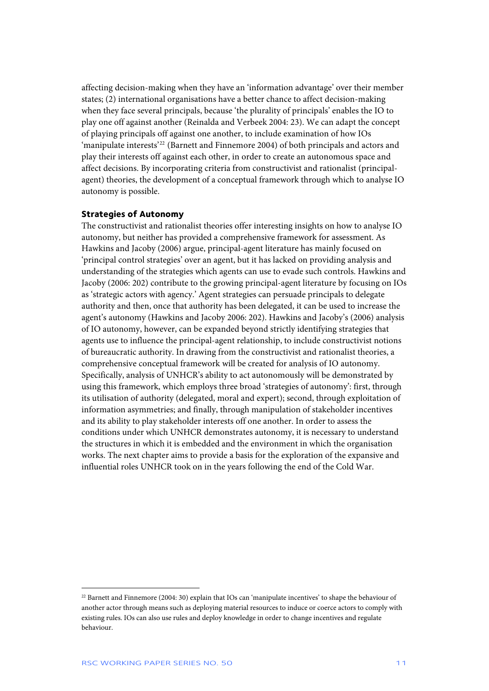<span id="page-11-0"></span>affecting decision-making when they have an 'information advantage' over their member states; (2) international organisations have a better chance to affect decision-making when they face several principals, because 'the plurality of principals' enables the IO to play one off against another (Reinalda and Verbeek 2004: 23). We can adapt the concept of playing principals off against one another, to include examination of how IOs 'manipulate interests'[22](#page-11-1) (Barnett and Finnemore 2004) of both principals and actors and play their interests off against each other, in order to create an autonomous space and affect decisions. By incorporating criteria from constructivist and rationalist (principalagent) theories, the development of a conceptual framework through which to analyse IO autonomy is possible.

### **Strategies of Autonomy**

The constructivist and rationalist theories offer interesting insights on how to analyse IO autonomy, but neither has provided a comprehensive framework for assessment. As Hawkins and Jacoby (2006) argue, principal-agent literature has mainly focused on 'principal control strategies' over an agent, but it has lacked on providing analysis and understanding of the strategies which agents can use to evade such controls. Hawkins and Jacoby (2006: 202) contribute to the growing principal-agent literature by focusing on IOs as 'strategic actors with agency.' Agent strategies can persuade principals to delegate authority and then, once that authority has been delegated, it can be used to increase the agent's autonomy (Hawkins and Jacoby 2006: 202). Hawkins and Jacoby's (2006) analysis of IO autonomy, however, can be expanded beyond strictly identifying strategies that agents use to influence the principal-agent relationship, to include constructivist notions of bureaucratic authority. In drawing from the constructivist and rationalist theories, a comprehensive conceptual framework will be created for analysis of IO autonomy. Specifically, analysis of UNHCR's ability to act autonomously will be demonstrated by using this framework, which employs three broad 'strategies of autonomy': first, through its utilisation of authority (delegated, moral and expert); second, through exploitation of information asymmetries; and finally, through manipulation of stakeholder incentives and its ability to play stakeholder interests off one another. In order to assess the conditions under which UNHCR demonstrates autonomy, it is necessary to understand the structures in which it is embedded and the environment in which the organisation works. The next chapter aims to provide a basis for the exploration of the expansive and influential roles UNHCR took on in the years following the end of the Cold War.

<span id="page-11-1"></span><sup>22</sup> Barnett and Finnemore (2004: 30) explain that IOs can 'manipulate incentives' to shape the behaviour of another actor through means such as deploying material resources to induce or coerce actors to comply with existing rules. IOs can also use rules and deploy knowledge in order to change incentives and regulate behaviour.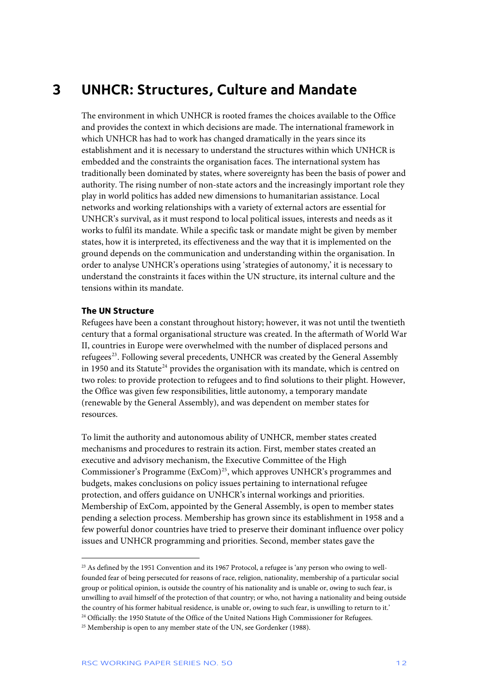### <span id="page-12-0"></span>**3 UNHCR: Structures, Culture and Mandate**

The environment in which UNHCR is rooted frames the choices available to the Office and provides the context in which decisions are made. The international framework in which UNHCR has had to work has changed dramatically in the years since its establishment and it is necessary to understand the structures within which UNHCR is embedded and the constraints the organisation faces. The international system has traditionally been dominated by states, where sovereignty has been the basis of power and authority. The rising number of non-state actors and the increasingly important role they play in world politics has added new dimensions to humanitarian assistance. Local networks and working relationships with a variety of external actors are essential for UNHCR's survival, as it must respond to local political issues, interests and needs as it works to fulfil its mandate. While a specific task or mandate might be given by member states, how it is interpreted, its effectiveness and the way that it is implemented on the ground depends on the communication and understanding within the organisation. In order to analyse UNHCR's operations using 'strategies of autonomy,' it is necessary to understand the constraints it faces within the UN structure, its internal culture and the tensions within its mandate.

### **The UN Structure**

j

Refugees have been a constant throughout history; however, it was not until the twentieth century that a formal organisational structure was created. In the aftermath of World War II, countries in Europe were overwhelmed with the number of displaced persons and refugees<sup>[23](#page-12-1)</sup>. Following several precedents, UNHCR was created by the General Assembly in 1950 and its Statute<sup>[24](#page-12-2)</sup> provides the organisation with its mandate, which is centred on two roles: to provide protection to refugees and to find solutions to their plight. However, the Office was given few responsibilities, little autonomy, a temporary mandate (renewable by the General Assembly), and was dependent on member states for esources. r

mechanisms and procedures to restrain its action. First, member states created an Commissioner's Programme (ExCom)<sup>[25](#page-12-3)</sup>, which approves UNHCR's programmes and few powerful donor countries have tried to preserve their dominant influence over policy issues and UNHCR programming and priorities. Second, member states gave the To limit the authority and autonomous ability of UNHCR, member states created executive and advisory mechanism, the Executive Committee of the High budgets, makes conclusions on policy issues pertaining to international refugee protection, and offers guidance on UNHCR's internal workings and priorities. Membership of ExCom, appointed by the General Assembly, is open to member states pending a selection process. Membership has grown since its establishment in 1958 and a

<span id="page-12-1"></span><sup>&</sup>lt;sup>23</sup> As defined by the 1951 Convention and its 1967 Protocol, a refugee is 'any person who owing to wellfounded fear of being persecuted for reasons of race, religion, nationality, membership of a particular social group or political opinion, is outside the country of his nationality and is unable or, owing to such fear, is unwilling to avail himself of the protection of that country; or who, not having a nationality and being outside the country of his former habitual residence, is unable or, owing to such fear, is unwilling to return to it.' <sup>24</sup> Officially: the 1950 Statute of the Office of the United Nations High Commissioner for Refugees.

<span id="page-12-3"></span><span id="page-12-2"></span><sup>&</sup>lt;sup>25</sup> Membership is open to any member state of the UN, see Gordenker (1988).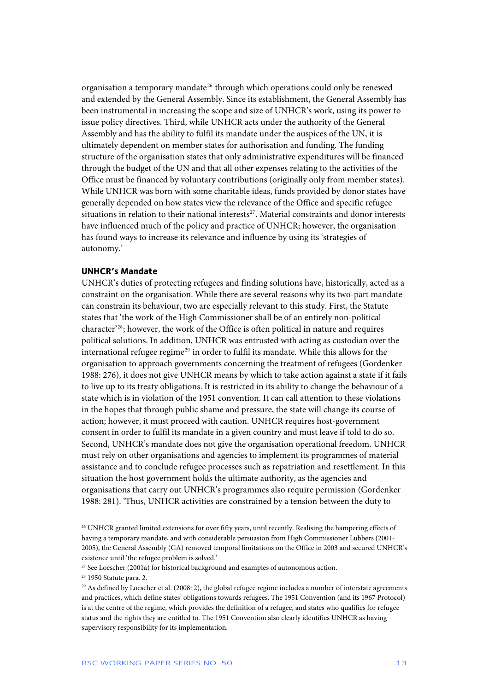<span id="page-13-0"></span>organisation a temporary mandate<sup>[26](#page-13-1)</sup> through which operations could only be renewed and extended by the General Assembly. Since its establishment, the General Assembly has been instrumental in increasing the scope and size of UNHCR's work, using its power to issue policy directives. Third, while UNHCR acts under the authority of the General Assembly and has the ability to fulfil its mandate under the auspices of the UN, it is ultimately dependent on member states for authorisation and funding. The funding structure of the organisation states that only administrative expenditures will be financed through the budget of the UN and that all other expenses relating to the activities of the Office must be financed by voluntary contributions (originally only from member states). While UNHCR was born with some charitable ideas, funds provided by donor states have generally depended on how states view the relevance of the Office and specific refugee situations in relation to their national interests<sup>[27](#page-13-2)</sup>. Material constraints and donor interests have influenced much of the policy and practice of UNHCR; however, the organisation has found ways to increase its relevance and influence by using its 'strategies of autonomy.'

### **UNHCR's Mandate**

UNHCR's duties of protecting refugees and finding solutions have, historically, acted as a constraint on the organisation. While there are several reasons why its two-part mandate can constrain its behaviour, two are especially relevant to this study. First, the Statute states that 'the work of the High Commissioner shall be of an entirely non-political character'[28](#page-13-3); however, the work of the Office is often political in nature and requires political solutions. In addition, UNHCR was entrusted with acting as custodian over the international refugee regime<sup>[29](#page-13-4)</sup> in order to fulfil its mandate. While this allows for the organisation to approach governments concerning the treatment of refugees (Gordenker 1988: 276), it does not give UNHCR means by which to take action against a state if it fails to live up to its treaty obligations. It is restricted in its ability to change the behaviour of a state which is in violation of the 1951 convention. It can call attention to these violations in the hopes that through public shame and pressure, the state will change its course of action; however, it must proceed with caution. UNHCR requires host-government consent in order to fulfil its mandate in a given country and must leave if told to do so. Second, UNHCR's mandate does not give the organisation operational freedom. UNHCR must rely on other organisations and agencies to implement its programmes of material assistance and to conclude refugee processes such as repatriation and resettlement. In this situation the host government holds the ultimate authority, as the agencies and organisations that carry out UNHCR's programmes also require permission (Gordenker 1988: 281). 'Thus, UNHCR activities are constrained by a tension between the duty to

<span id="page-13-1"></span><sup>26</sup> UNHCR granted limited extensions for over fifty years, until recently. Realising the hampering effects of having a temporary mandate, and with considerable persuasion from High Commissioner Lubbers (2001- 2005), the General Assembly (GA) removed temporal limitations on the Office in 2003 and secured UNHCR's existence until 'the refugee problem is solved.'

<span id="page-13-2"></span><sup>&</sup>lt;sup>27</sup> See Loescher (2001a) for historical background and examples of autonomous action.

<span id="page-13-3"></span><sup>28 1950</sup> Statute para. 2.

<span id="page-13-4"></span> $^{29}$  As defined by Loescher et al. (2008: 2), the global refugee regime includes a number of interstate agreements and practices, which define states' obligations towards refugees. The 1951 Convention (and its 1967 Protocol) is at the centre of the regime, which provides the definition of a refugee, and states who qualifies for refugee status and the rights they are entitled to. The 1951 Convention also clearly identifies UNHCR as having supervisory responsibility for its implementation.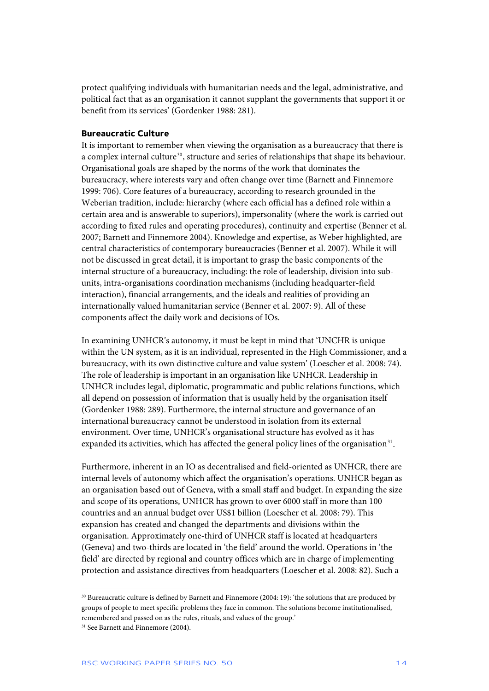<span id="page-14-0"></span>protect qualifying individuals with humanitarian needs and the legal, administrative, and political fact that as an organisation it cannot supplant the governments that support it or benefit from its services' (Gordenker 1988: 281).

### **Bureaucratic Culture**

It is important to remember when viewing the organisation as a bureaucracy that there is a complex internal culture<sup>[30](#page-14-1)</sup>, structure and series of relationships that shape its behaviour. Organisational goals are shaped by the norms of the work that dominates the bureaucracy, where interests vary and often change over time (Barnett and Finnemore 1999: 706). Core features of a bureaucracy, according to research grounded in the Weberian tradition, include: hierarchy (where each official has a defined role within a certain area and is answerable to superiors), impersonality (where the work is carried out according to fixed rules and operating procedures), continuity and expertise (Benner et al. 2007; Barnett and Finnemore 2004). Knowledge and expertise, as Weber highlighted, are central characteristics of contemporary bureaucracies (Benner et al. 2007). While it will not be discussed in great detail, it is important to grasp the basic components of the internal structure of a bureaucracy, including: the role of leadership, division into subunits, intra-organisations coordination mechanisms (including headquarter-field interaction), financial arrangements, and the ideals and realities of providing an internationally valued humanitarian service (Benner et al. 2007: 9). All of these components affect the daily work and decisions of IOs.

In examining UNHCR's autonomy, it must be kept in mind that 'UNCHR is unique within the UN system, as it is an individual, represented in the High Commissioner, and a bureaucracy, with its own distinctive culture and value system' (Loescher et al. 2008: 74). The role of leadership is important in an organisation like UNHCR. Leadership in UNHCR includes legal, diplomatic, programmatic and public relations functions, which all depend on possession of information that is usually held by the organisation itself (Gordenker 1988: 289). Furthermore, the internal structure and governance of an international bureaucracy cannot be understood in isolation from its external environment. Over time, UNHCR's organisational structure has evolved as it has expanded its activities, which has affected the general policy lines of the organisation $31$ .

Furthermore, inherent in an IO as decentralised and field-oriented as UNHCR, there are internal levels of autonomy which affect the organisation's operations. UNHCR began as an organisation based out of Geneva, with a small staff and budget. In expanding the size and scope of its operations, UNHCR has grown to over 6000 staff in more than 100 countries and an annual budget over US\$1 billion (Loescher et al. 2008: 79). This expansion has created and changed the departments and divisions within the organisation. Approximately one-third of UNHCR staff is located at headquarters (Geneva) and two-thirds are located in 'the field' around the world. Operations in 'the field' are directed by regional and country offices which are in charge of implementing protection and assistance directives from headquarters (Loescher et al. 2008: 82). Such a

<span id="page-14-1"></span><sup>30</sup> Bureaucratic culture is defined by Barnett and Finnemore (2004: 19): 'the solutions that are produced by groups of people to meet specific problems they face in common. The solutions become institutionalised, remembered and passed on as the rules, rituals, and values of the group.'

<span id="page-14-2"></span><sup>&</sup>lt;sup>31</sup> See Barnett and Finnemore (2004).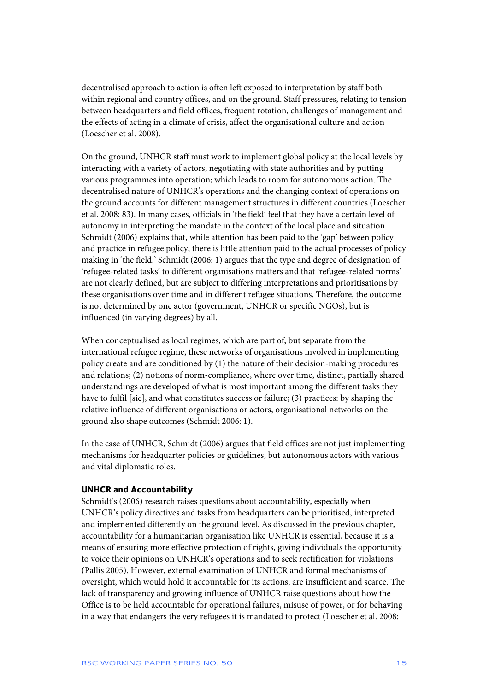<span id="page-15-0"></span>decentralised approach to action is often left exposed to interpretation by staff both within regional and country offices, and on the ground. Staff pressures, relating to tension between headquarters and field offices, frequent rotation, challenges of management and the effects of acting in a climate of crisis, affect the organisational culture and action (Loescher et al. 2008).

On the ground, UNHCR staff must work to implement global policy at the local levels by interacting with a variety of actors, negotiating with state authorities and by putting various programmes into operation; which leads to room for autonomous action. The decentralised nature of UNHCR's operations and the changing context of operations on the ground accounts for different management structures in different countries (Loescher et al. 2008: 83). In many cases, officials in 'the field' feel that they have a certain level of autonomy in interpreting the mandate in the context of the local place and situation. Schmidt (2006) explains that, while attention has been paid to the 'gap' between policy and practice in refugee policy, there is little attention paid to the actual processes of policy making in 'the field.' Schmidt (2006: 1) argues that the type and degree of designation of 'refugee-related tasks' to different organisations matters and that 'refugee-related norms' are not clearly defined, but are subject to differing interpretations and prioritisations by these organisations over time and in different refugee situations. Therefore, the outcome is not determined by one actor (government, UNHCR or specific NGOs), but is influenced (in varying degrees) by all.

When conceptualised as local regimes, which are part of, but separate from the international refugee regime, these networks of organisations involved in implementing policy create and are conditioned by (1) the nature of their decision-making procedures and relations; (2) notions of norm-compliance, where over time, distinct, partially shared understandings are developed of what is most important among the different tasks they have to fulfil [sic], and what constitutes success or failure; (3) practices: by shaping the relative influence of different organisations or actors, organisational networks on the ground also shape outcomes (Schmidt 2006: 1).

In the case of UNHCR, Schmidt (2006) argues that field offices are not just implementing mechanisms for headquarter policies or guidelines, but autonomous actors with various and vital diplomatic roles.

### **UNHCR and Accountability**

Schmidt's (2006) research raises questions about accountability, especially when UNHCR's policy directives and tasks from headquarters can be prioritised, interpreted and implemented differently on the ground level. As discussed in the previous chapter, accountability for a humanitarian organisation like UNHCR is essential, because it is a means of ensuring more effective protection of rights, giving individuals the opportunity to voice their opinions on UNHCR's operations and to seek rectification for violations (Pallis 2005). However, external examination of UNHCR and formal mechanisms of oversight, which would hold it accountable for its actions, are insufficient and scarce. The lack of transparency and growing influence of UNHCR raise questions about how the Office is to be held accountable for operational failures, misuse of power, or for behaving in a way that endangers the very refugees it is mandated to protect (Loescher et al. 2008: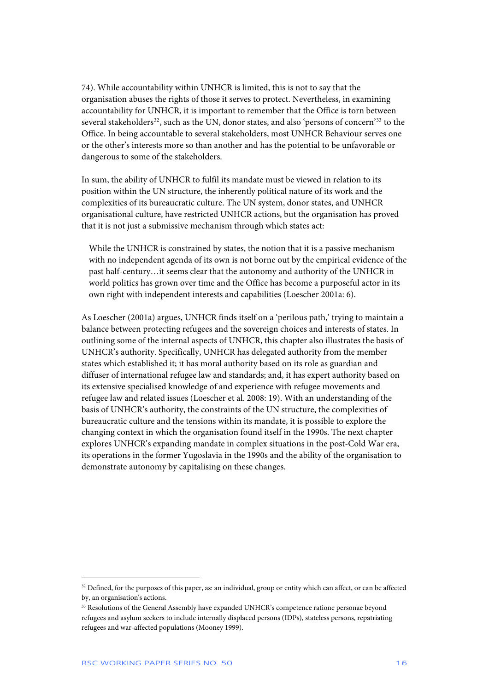74). While accountability within UNHCR is limited, this is not to say that the organisation abuses the rights of those it serves to protect. Nevertheless, in examining accountability for UNHCR, it is important to remember that the Office is torn between several stakeholders<sup>[32](#page-16-0)</sup>, such as the UN, donor states, and also 'persons of concern'<sup>[33](#page-16-1)</sup> to the Office. In being accountable to several stakeholders, most UNHCR Behaviour serves one or the other's interests more so than another and has the potential to be unfavorable or dangerous to some of the stakeholders.

In sum, the ability of UNHCR to fulfil its mandate must be viewed in relation to its position within the UN structure, the inherently political nature of its work and the complexities of its bureaucratic culture. The UN system, donor states, and UNHCR organisational culture, have restricted UNHCR actions, but the organisation has proved that it is not just a submissive mechanism through which states act:

While the UNHCR is constrained by states, the notion that it is a passive mechanism with no independent agenda of its own is not borne out by the empirical evidence of the past half-century…it seems clear that the autonomy and authority of the UNHCR in world politics has grown over time and the Office has become a purposeful actor in its own right with independent interests and capabilities (Loescher 2001a: 6).

As Loescher (2001a) argues, UNHCR finds itself on a 'perilous path,' trying to maintain a balance between protecting refugees and the sovereign choices and interests of states. In outlining some of the internal aspects of UNHCR, this chapter also illustrates the basis of UNHCR's authority. Specifically, UNHCR has delegated authority from the member states which established it; it has moral authority based on its role as guardian and diffuser of international refugee law and standards; and, it has expert authority based on its extensive specialised knowledge of and experience with refugee movements and refugee law and related issues (Loescher et al. 2008: 19). With an understanding of the basis of UNHCR's authority, the constraints of the UN structure, the complexities of bureaucratic culture and the tensions within its mandate, it is possible to explore the changing context in which the organisation found itself in the 1990s. The next chapter explores UNHCR's expanding mandate in complex situations in the post-Cold War era, its operations in the former Yugoslavia in the 1990s and the ability of the organisation to demonstrate autonomy by capitalising on these changes.

<span id="page-16-0"></span><sup>&</sup>lt;sup>32</sup> Defined, for the purposes of this paper, as: an individual, group or entity which can affect, or can be affected by, an organisation's actions.

<span id="page-16-1"></span><sup>&</sup>lt;sup>33</sup> Resolutions of the General Assembly have expanded UNHCR's competence ratione personae beyond refugees and asylum seekers to include internally displaced persons (IDPs), stateless persons, repatriating refugees and war-affected populations (Mooney 1999).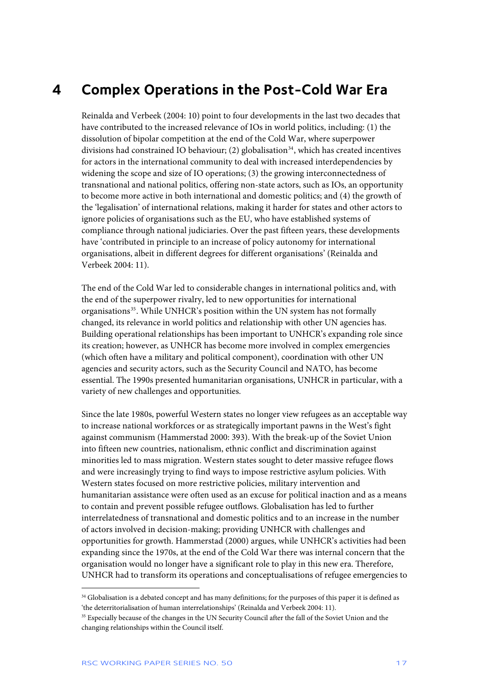### <span id="page-17-0"></span>**4 Complex Operations in the Post-Cold War Era**

Reinalda and Verbeek (2004: 10) point to four developments in the last two decades that have contributed to the increased relevance of IOs in world politics, including: (1) the dissolution of bipolar competition at the end of the Cold War, where superpower divisions had constrained IO behaviour; (2) globalisation<sup>[34](#page-17-1)</sup>, which has created incentives for actors in the international community to deal with increased interdependencies by widening the scope and size of IO operations; (3) the growing interconnectedness of transnational and national politics, offering non-state actors, such as IOs, an opportunity to become more active in both international and domestic politics; and (4) the growth of the 'legalisation' of international relations, making it harder for states and other actors to ignore policies of organisations such as the EU, who have established systems of compliance through national judiciaries. Over the past fifteen years, these developments have 'contributed in principle to an increase of policy autonomy for international organisations, albeit in different degrees for different organisations' (Reinalda and Verbeek 2004: 11).

The end of the Cold War led to considerable changes in international politics and, with the end of the superpower rivalry, led to new opportunities for international organisations<sup>[35](#page-17-2)</sup>. While UNHCR's position within the UN system has not formally changed, its relevance in world politics and relationship with other UN agencies has. Building operational relationships has been important to UNHCR's expanding role since its creation; however, as UNHCR has become more involved in complex emergencies (which often have a military and political component), coordination with other UN agencies and security actors, such as the Security Council and NATO, has become essential. The 1990s presented humanitarian organisations, UNHCR in particular, with a variety of new challenges and opportunities.

Since the late 1980s, powerful Western states no longer view refugees as an acceptable way to increase national workforces or as strategically important pawns in the West's fight against communism (Hammerstad 2000: 393). With the break-up of the Soviet Union into fifteen new countries, nationalism, ethnic conflict and discrimination against minorities led to mass migration. Western states sought to deter massive refugee flows and were increasingly trying to find ways to impose restrictive asylum policies. With Western states focused on more restrictive policies, military intervention and humanitarian assistance were often used as an excuse for political inaction and as a means to contain and prevent possible refugee outflows. Globalisation has led to further interrelatedness of transnational and domestic politics and to an increase in the number of actors involved in decision-making; providing UNHCR with challenges and opportunities for growth. Hammerstad (2000) argues, while UNHCR's activities had been expanding since the 1970s, at the end of the Cold War there was internal concern that the organisation would no longer have a significant role to play in this new era. Therefore, UNHCR had to transform its operations and conceptualisations of refugee emergencies to

<span id="page-17-1"></span><sup>&</sup>lt;sup>34</sup> Globalisation is a debated concept and has many definitions; for the purposes of this paper it is defined as 'the deterritorialisation of human interrelationships' (Reinalda and Verbeek 2004: 11).

<span id="page-17-2"></span><sup>&</sup>lt;sup>35</sup> Especially because of the changes in the UN Security Council after the fall of the Soviet Union and the changing relationships within the Council itself.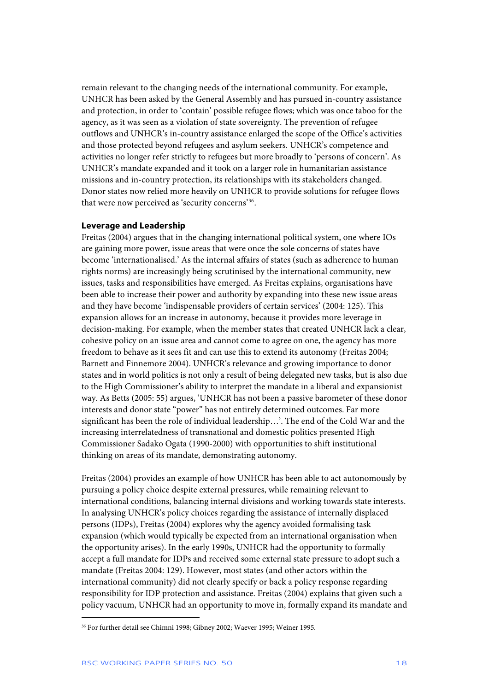<span id="page-18-0"></span>remain relevant to the changing needs of the international community. For example, UNHCR has been asked by the General Assembly and has pursued in-country assistance and protection, in order to 'contain' possible refugee flows; which was once taboo for the agency, as it was seen as a violation of state sovereignty. The prevention of refugee outflows and UNHCR's in-country assistance enlarged the scope of the Office's activities and those protected beyond refugees and asylum seekers. UNHCR's competence and activities no longer refer strictly to refugees but more broadly to 'persons of concern'. As UNHCR's mandate expanded and it took on a larger role in humanitarian assistance missions and in-country protection, its relationships with its stakeholders changed. Donor states now relied more heavily on UNHCR to provide solutions for refugee flows that were now perceived as 'security concerns'[36](#page-18-1).

#### **Leverage and Leadership**

Freitas (2004) argues that in the changing international political system, one where IOs are gaining more power, issue areas that were once the sole concerns of states have become 'internationalised.' As the internal affairs of states (such as adherence to human rights norms) are increasingly being scrutinised by the international community, new issues, tasks and responsibilities have emerged. As Freitas explains, organisations have been able to increase their power and authority by expanding into these new issue areas and they have become 'indispensable providers of certain services' (2004: 125). This expansion allows for an increase in autonomy, because it provides more leverage in decision-making. For example, when the member states that created UNHCR lack a clear, cohesive policy on an issue area and cannot come to agree on one, the agency has more freedom to behave as it sees fit and can use this to extend its autonomy (Freitas 2004; Barnett and Finnemore 2004). UNHCR's relevance and growing importance to donor states and in world politics is not only a result of being delegated new tasks, but is also due to the High Commissioner's ability to interpret the mandate in a liberal and expansionist way. As Betts (2005: 55) argues, 'UNHCR has not been a passive barometer of these donor interests and donor state "power" has not entirely determined outcomes. Far more significant has been the role of individual leadership…'. The end of the Cold War and the increasing interrelatedness of transnational and domestic politics presented High Commissioner Sadako Ogata (1990-2000) with opportunities to shift institutional thinking on areas of its mandate, demonstrating autonomy.

Freitas (2004) provides an example of how UNHCR has been able to act autonomously by pursuing a policy choice despite external pressures, while remaining relevant to international conditions, balancing internal divisions and working towards state interests. In analysing UNHCR's policy choices regarding the assistance of internally displaced persons (IDPs), Freitas (2004) explores why the agency avoided formalising task expansion (which would typically be expected from an international organisation when the opportunity arises). In the early 1990s, UNHCR had the opportunity to formally accept a full mandate for IDPs and received some external state pressure to adopt such a mandate (Freitas 2004: 129). However, most states (and other actors within the international community) did not clearly specify or back a policy response regarding responsibility for IDP protection and assistance. Freitas (2004) explains that given such a policy vacuum, UNHCR had an opportunity to move in, formally expand its mandate and

<span id="page-18-1"></span><sup>36</sup> For further detail see Chimni 1998; Gibney 2002; Waever 1995; Weiner 1995.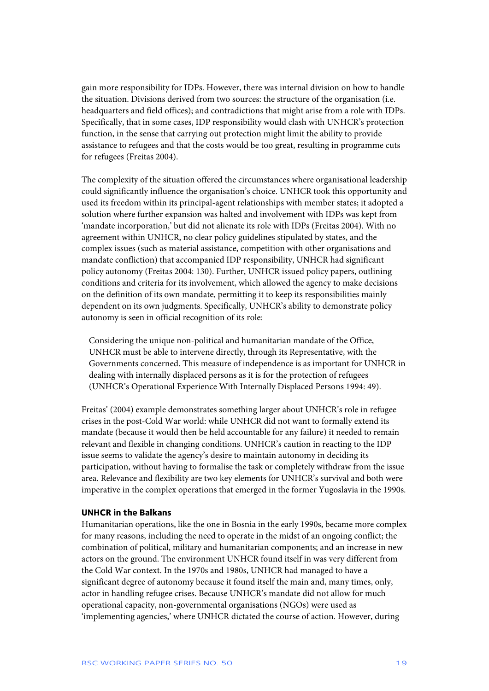<span id="page-19-0"></span>gain more responsibility for IDPs. However, there was internal division on how to handle the situation. Divisions derived from two sources: the structure of the organisation (i.e. headquarters and field offices); and contradictions that might arise from a role with IDPs. Specifically, that in some cases, IDP responsibility would clash with UNHCR's protection function, in the sense that carrying out protection might limit the ability to provide assistance to refugees and that the costs would be too great, resulting in programme cuts for refugees (Freitas 2004).

The complexity of the situation offered the circumstances where organisational leadership could significantly influence the organisation's choice. UNHCR took this opportunity and used its freedom within its principal-agent relationships with member states; it adopted a solution where further expansion was halted and involvement with IDPs was kept from 'mandate incorporation,' but did not alienate its role with IDPs (Freitas 2004). With no agreement within UNHCR, no clear policy guidelines stipulated by states, and the complex issues (such as material assistance, competition with other organisations and mandate confliction) that accompanied IDP responsibility, UNHCR had significant policy autonomy (Freitas 2004: 130). Further, UNHCR issued policy papers, outlining conditions and criteria for its involvement, which allowed the agency to make decisions on the definition of its own mandate, permitting it to keep its responsibilities mainly dependent on its own judgments. Specifically, UNHCR's ability to demonstrate policy autonomy is seen in official recognition of its role:

Considering the unique non-political and humanitarian mandate of the Office, UNHCR must be able to intervene directly, through its Representative, with the Governments concerned. This measure of independence is as important for UNHCR in dealing with internally displaced persons as it is for the protection of refugees (UNHCR's Operational Experience With Internally Displaced Persons 1994: 49).

Freitas' (2004) example demonstrates something larger about UNHCR's role in refugee crises in the post-Cold War world: while UNHCR did not want to formally extend its mandate (because it would then be held accountable for any failure) it needed to remain relevant and flexible in changing conditions. UNHCR's caution in reacting to the IDP issue seems to validate the agency's desire to maintain autonomy in deciding its participation, without having to formalise the task or completely withdraw from the issue area. Relevance and flexibility are two key elements for UNHCR's survival and both were imperative in the complex operations that emerged in the former Yugoslavia in the 1990s.

#### **UNHCR in the Balkans**

Humanitarian operations, like the one in Bosnia in the early 1990s, became more complex for many reasons, including the need to operate in the midst of an ongoing conflict; the combination of political, military and humanitarian components; and an increase in new actors on the ground. The environment UNHCR found itself in was very different from the Cold War context. In the 1970s and 1980s, UNHCR had managed to have a significant degree of autonomy because it found itself the main and, many times, only, actor in handling refugee crises. Because UNHCR's mandate did not allow for much operational capacity, non-governmental organisations (NGOs) were used as 'implementing agencies,' where UNHCR dictated the course of action. However, during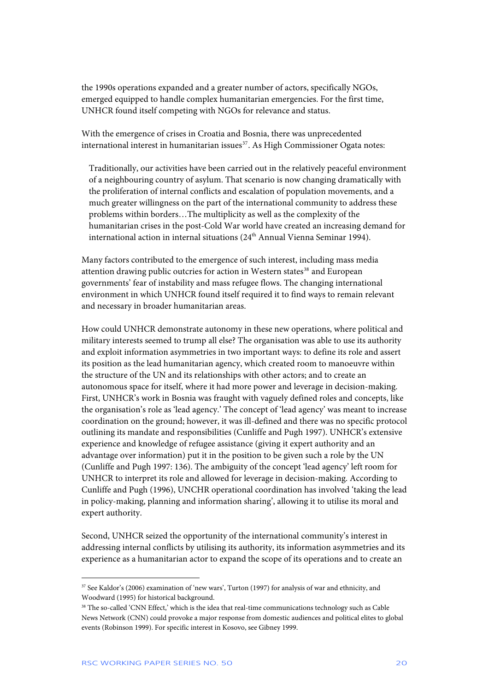the 1990s operations expanded and a greater number of actors, specifically NGOs, emerged equipped to handle complex humanitarian emergencies. For the first time, UNHCR found itself competing with NGOs for relevance and status.

With the emergence of crises in Croatia and Bosnia, there was unprecedented international interest in humanitarian issues<sup>[37](#page-20-0)</sup>. As High Commissioner Ogata notes:

Traditionally, our activities have been carried out in the relatively peaceful environment of a neighbouring country of asylum. That scenario is now changing dramatically with the proliferation of internal conflicts and escalation of population movements, and a much greater willingness on the part of the international community to address these problems within borders…The multiplicity as well as the complexity of the humanitarian crises in the post-Cold War world have created an increasing demand for international action in internal situations (24<sup>th</sup> Annual Vienna Seminar 1994).

Many factors contributed to the emergence of such interest, including mass media attention drawing public outcries for action in Western states<sup>[38](#page-20-1)</sup> and European governments' fear of instability and mass refugee flows. The changing international environment in which UNHCR found itself required it to find ways to remain relevant and necessary in broader humanitarian areas.

How could UNHCR demonstrate autonomy in these new operations, where political and military interests seemed to trump all else? The organisation was able to use its authority and exploit information asymmetries in two important ways: to define its role and assert its position as the lead humanitarian agency, which created room to manoeuvre within the structure of the UN and its relationships with other actors; and to create an autonomous space for itself, where it had more power and leverage in decision-making. First, UNHCR's work in Bosnia was fraught with vaguely defined roles and concepts, like the organisation's role as 'lead agency.' The concept of 'lead agency' was meant to increase coordination on the ground; however, it was ill-defined and there was no specific protocol outlining its mandate and responsibilities (Cunliffe and Pugh 1997). UNHCR's extensive experience and knowledge of refugee assistance (giving it expert authority and an advantage over information) put it in the position to be given such a role by the UN (Cunliffe and Pugh 1997: 136). The ambiguity of the concept 'lead agency' left room for UNHCR to interpret its role and allowed for leverage in decision-making. According to Cunliffe and Pugh (1996), UNCHR operational coordination has involved 'taking the lead in policy-making, planning and information sharing', allowing it to utilise its moral and expert authority.

Second, UNHCR seized the opportunity of the international community's interest in addressing internal conflicts by utilising its authority, its information asymmetries and its experience as a humanitarian actor to expand the scope of its operations and to create an

<span id="page-20-0"></span><sup>37</sup> See Kaldor's (2006) examination of 'new wars', Turton (1997) for analysis of war and ethnicity, and Woodward (1995) for historical background.

<span id="page-20-1"></span><sup>&</sup>lt;sup>38</sup> The so-called 'CNN Effect,' which is the idea that real-time communications technology such as Cable News Network (CNN) could provoke a major response from domestic audiences and political elites to global events (Robinson 1999). For specific interest in Kosovo, see Gibney 1999.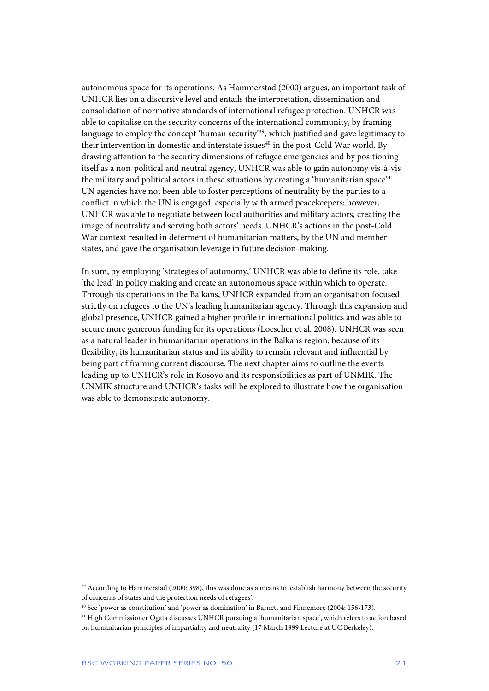autonomous space for its operations. As Hammerstad (2000) argues, an important task of UNHCR lies on a discursive level and entails the interpretation, dissemination and consolidation of normative standards of international refugee protection. UNHCR was able to capitalise on the security concerns of the international community, by framing language to employ the concept 'human security'<sup>[39](#page-21-0)</sup>, which justified and gave legitimacy to their intervention in domestic and interstate issues<sup>[40](#page-21-1)</sup> in the post-Cold War world. By drawing attention to the security dimensions of refugee emergencies and by positioning itself as a non-political and neutral agency, UNHCR was able to gain autonomy vis-à-vis the military and political actors in these situations by creating a 'humanitarian space'<sup>[41](#page-21-2)</sup>. UN agencies have not been able to foster perceptions of neutrality by the parties to a conflict in which the UN is engaged, especially with armed peacekeepers; however, UNHCR was able to negotiate between local authorities and military actors, creating the image of neutrality and serving both actors' needs. UNHCR's actions in the post-Cold War context resulted in deferment of humanitarian matters, by the UN and member states, and gave the organisation leverage in future decision-making.

In sum, by employing 'strategies of autonomy,' UNHCR was able to define its role, take 'the lead' in policy making and create an autonomous space within which to operate. Through its operations in the Balkans, UNHCR expanded from an organisation focused strictly on refugees to the UN's leading humanitarian agency. Through this expansion and global presence, UNHCR gained a higher profile in international politics and was able to secure more generous funding for its operations (Loescher et al. 2008). UNHCR was seen as a natural leader in humanitarian operations in the Balkans region, because of its flexibility, its humanitarian status and its ability to remain relevant and influential by being part of framing current discourse. The next chapter aims to outline the events leading up to UNHCR's role in Kosovo and its responsibilities as part of UNMIK. The UNMIK structure and UNHCR's tasks will be explored to illustrate how the organisation was able to demonstrate autonomy.

1

<span id="page-21-0"></span><sup>&</sup>lt;sup>39</sup> According to Hammerstad (2000: 398), this was done as a means to 'establish harmony between the security of concerns of states and the protection needs of refugees'.

<span id="page-21-1"></span><sup>40</sup> See 'power as constitution' and 'power as domination' in Barnett and Finnemore (2004: 156-173).

<span id="page-21-2"></span><sup>41</sup> High Commissioner Ogata discusses UNHCR pursuing a 'humanitarian space', which refers to action based on humanitarian principles of impartiality and neutrality (17 March 1999 Lecture at UC Berkeley).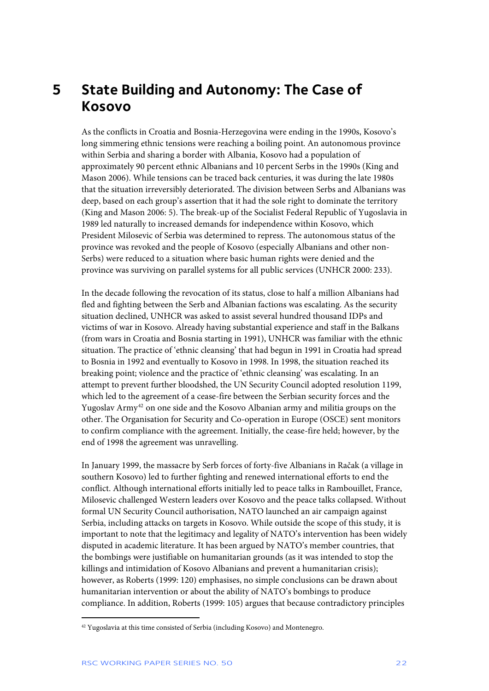### <span id="page-22-0"></span>**5 State Building and Autonomy: The Case of Kosovo**

As the conflicts in Croatia and Bosnia-Herzegovina were ending in the 1990s, Kosovo's long simmering ethnic tensions were reaching a boiling point. An autonomous province within Serbia and sharing a border with Albania, Kosovo had a population of approximately 90 percent ethnic Albanians and 10 percent Serbs in the 1990s (King and Mason 2006). While tensions can be traced back centuries, it was during the late 1980s that the situation irreversibly deteriorated. The division between Serbs and Albanians was deep, based on each group's assertion that it had the sole right to dominate the territory (King and Mason 2006: 5). The break-up of the Socialist Federal Republic of Yugoslavia in 1989 led naturally to increased demands for independence within Kosovo, which President Milosevic of Serbia was determined to repress. The autonomous status of the province was revoked and the people of Kosovo (especially Albanians and other non-Serbs) were reduced to a situation where basic human rights were denied and the province was surviving on parallel systems for all public services (UNHCR 2000: 233).

In the decade following the revocation of its status, close to half a million Albanians had fled and fighting between the Serb and Albanian factions was escalating. As the security situation declined, UNHCR was asked to assist several hundred thousand IDPs and victims of war in Kosovo. Already having substantial experience and staff in the Balkans (from wars in Croatia and Bosnia starting in 1991), UNHCR was familiar with the ethnic situation. The practice of 'ethnic cleansing' that had begun in 1991 in Croatia had spread to Bosnia in 1992 and eventually to Kosovo in 1998. In 1998, the situation reached its breaking point; violence and the practice of 'ethnic cleansing' was escalating. In an attempt to prevent further bloodshed, the UN Security Council adopted resolution 1199, which led to the agreement of a cease-fire between the Serbian security forces and the Yugoslav Army<sup>[42](#page-22-1)</sup> on one side and the Kosovo Albanian army and militia groups on the other. The Organisation for Security and Co-operation in Europe (OSCE) sent monitors to confirm compliance with the agreement. Initially, the cease-fire held; however, by the end of 1998 the agreement was unravelling.

In January 1999, the massacre by Serb forces of forty-five Albanians in Račak (a village in southern Kosovo) led to further fighting and renewed international efforts to end the conflict. Although international efforts initially led to peace talks in Rambouillet, France, Milosevic challenged Western leaders over Kosovo and the peace talks collapsed. Without formal UN Security Council authorisation, NATO launched an air campaign against Serbia, including attacks on targets in Kosovo. While outside the scope of this study, it is important to note that the legitimacy and legality of NATO's intervention has been widely disputed in academic literature. It has been argued by NATO's member countries, that the bombings were justifiable on humanitarian grounds (as it was intended to stop the killings and intimidation of Kosovo Albanians and prevent a humanitarian crisis); however, as Roberts (1999: 120) emphasises, no simple conclusions can be drawn about humanitarian intervention or about the ability of NATO's bombings to produce compliance. In addition, Roberts (1999: 105) argues that because contradictory principles

<span id="page-22-1"></span><sup>&</sup>lt;sup>42</sup> Yugoslavia at this time consisted of Serbia (including Kosovo) and Montenegro.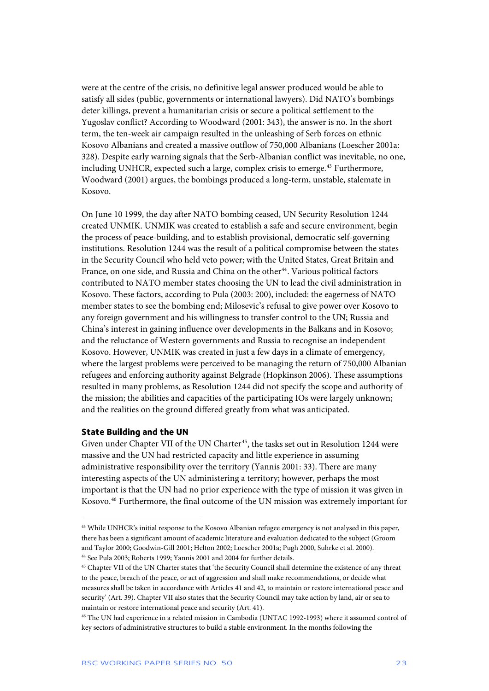<span id="page-23-0"></span>were at the centre of the crisis, no definitive legal answer produced would be able to satisfy all sides (public, governments or international lawyers). Did NATO's bombings deter killings, prevent a humanitarian crisis or secure a political settlement to the Yugoslav conflict? According to Woodward (2001: 343), the answer is no. In the short term, the ten-week air campaign resulted in the unleashing of Serb forces on ethnic Kosovo Albanians and created a massive outflow of 750,000 Albanians (Loescher 2001a: 328). Despite early warning signals that the Serb-Albanian conflict was inevitable, no one, including UNHCR, expected such a large, complex crisis to emerge.[43](#page-23-1) Furthermore, Woodward (2001) argues, the bombings produced a long-term, unstable, stalemate in Kosovo.

On June 10 1999, the day after NATO bombing ceased, UN Security Resolution 1244 created UNMIK. UNMIK was created to establish a safe and secure environment, begin the process of peace-building, and to establish provisional, democratic self-governing institutions. Resolution 1244 was the result of a political compromise between the states in the Security Council who held veto power; with the United States, Great Britain and France, on one side, and Russia and China on the other<sup>[44](#page-23-2)</sup>. Various political factors contributed to NATO member states choosing the UN to lead the civil administration in Kosovo. These factors, according to Pula (2003: 200), included: the eagerness of NATO member states to see the bombing end; Milosevic's refusal to give power over Kosovo to any foreign government and his willingness to transfer control to the UN; Russia and China's interest in gaining influence over developments in the Balkans and in Kosovo; and the reluctance of Western governments and Russia to recognise an independent Kosovo. However, UNMIK was created in just a few days in a climate of emergency, where the largest problems were perceived to be managing the return of 750,000 Albanian refugees and enforcing authority against Belgrade (Hopkinson 2006). These assumptions resulted in many problems, as Resolution 1244 did not specify the scope and authority of the mission; the abilities and capacities of the participating IOs were largely unknown; and the realities on the ground differed greatly from what was anticipated.

### **State Building and the UN**

j

Given under Chapter VII of the UN Charter<sup>[45](#page-23-3)</sup>, the tasks set out in Resolution 1244 were massive and the UN had restricted capacity and little experience in assuming administrative responsibility over the territory (Yannis 2001: 33). There are many interesting aspects of the UN administering a territory; however, perhaps the most important is that the UN had no prior experience with the type of mission it was given in Kosovo.[46](#page-23-4) Furthermore, the final outcome of the UN mission was extremely important for

<span id="page-23-1"></span><sup>&</sup>lt;sup>43</sup> While UNHCR's initial response to the Kosovo Albanian refugee emergency is not analysed in this paper, there has been a significant amount of academic literature and evaluation dedicated to the subject (Groom and Taylor 2000; Goodwin-Gill 2001; Helton 2002; Loescher 2001a; Pugh 2000, Suhrke et al. 2000). 44 See Pula 2003; Roberts 1999; Yannis 2001 and 2004 for further details.

<span id="page-23-3"></span><span id="page-23-2"></span><sup>45</sup> Chapter VII of the UN Charter states that 'the Security Council shall determine the existence of any threat to the peace, breach of the peace, or act of aggression and shall make recommendations, or decide what measures shall be taken in accordance with Articles 41 and 42, to maintain or restore international peace and security' (Art. 39). Chapter VII also states that the Security Council may take action by land, air or sea to maintain or restore international peace and security (Art. 41).

<span id="page-23-4"></span><sup>46</sup> The UN had experience in a related mission in Cambodia (UNTAC 1992-1993) where it assumed control of key sectors of administrative structures to build a stable environment. In the months following the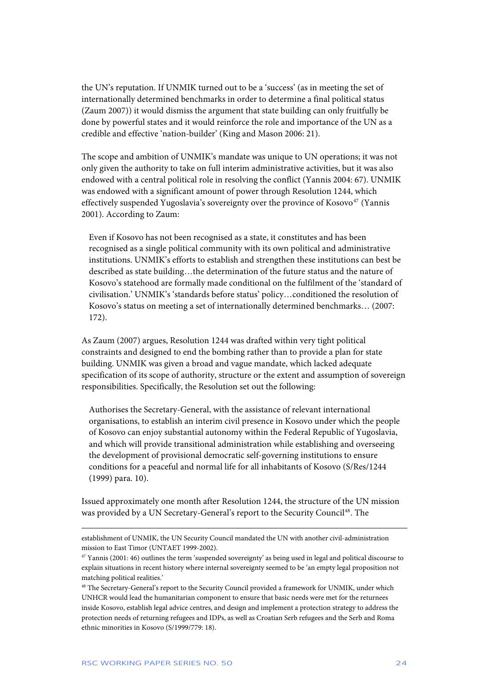the UN's reputation. If UNMIK turned out to be a 'success' (as in meeting the set of internationally determined benchmarks in order to determine a final political status (Zaum 2007)) it would dismiss the argument that state building can only fruitfully be done by powerful states and it would reinforce the role and importance of the UN as a credible and effective 'nation-builder' (King and Mason 2006: 21).

The scope and ambition of UNMIK's mandate was unique to UN operations; it was not only given the authority to take on full interim administrative activities, but it was also endowed with a central political role in resolving the conflict (Yannis 2004: 67). UNMIK was endowed with a significant amount of power through Resolution 1244, which effectively suspended Yugoslavia's sovereignty over the province of Kosovo $47$  (Yannis 2001). According to Zaum:

Even if Kosovo has not been recognised as a state, it constitutes and has been recognised as a single political community with its own political and administrative institutions. UNMIK's efforts to establish and strengthen these institutions can best be described as state building…the determination of the future status and the nature of Kosovo's statehood are formally made conditional on the fulfilment of the 'standard of civilisation.' UNMIK's 'standards before status' policy…conditioned the resolution of Kosovo's status on meeting a set of internationally determined benchmarks… (2007: 172).

As Zaum (2007) argues, Resolution 1244 was drafted within very tight political constraints and designed to end the bombing rather than to provide a plan for state building. UNMIK was given a broad and vague mandate, which lacked adequate specification of its scope of authority, structure or the extent and assumption of sovereign responsibilities. Specifically, the Resolution set out the following:

Authorises the Secretary-General, with the assistance of relevant international organisations, to establish an interim civil presence in Kosovo under which the people of Kosovo can enjoy substantial autonomy within the Federal Republic of Yugoslavia, and which will provide transitional administration while establishing and overseeing the development of provisional democratic self-governing institutions to ensure conditions for a peaceful and normal life for all inhabitants of Kosovo (S/Res/1244 (1999) para. 10).

Issued approximately one month after Resolution 1244, the structure of the UN mission was provided by a UN Secretary-General's report to the Security Council<sup>[48](#page-24-1)</sup>. The

-

establishment of UNMIK, the UN Security Council mandated the UN with another civil-administration mission to East Timor (UNTAET 1999-2002).

<span id="page-24-0"></span> $47$  Yannis (2001: 46) outlines the term 'suspended sovereignty' as being used in legal and political discourse to explain situations in recent history where internal sovereignty seemed to be 'an empty legal proposition not matching political realities.'

<span id="page-24-1"></span><sup>&</sup>lt;sup>48</sup> The Secretary-General's report to the Security Council provided a framework for UNMIK, under which UNHCR would lead the humanitarian component to ensure that basic needs were met for the returnees inside Kosovo, establish legal advice centres, and design and implement a protection strategy to address the protection needs of returning refugees and IDPs, as well as Croatian Serb refugees and the Serb and Roma ethnic minorities in Kosovo (S/1999/779: 18).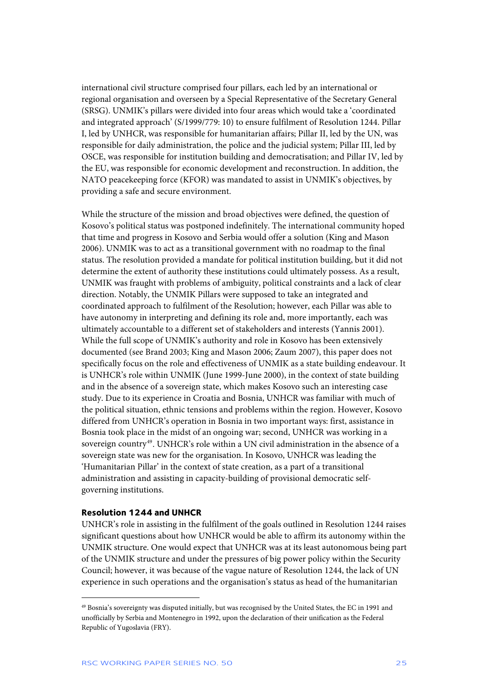<span id="page-25-0"></span>international civil structure comprised four pillars, each led by an international or regional organisation and overseen by a Special Representative of the Secretary General (SRSG). UNMIK's pillars were divided into four areas which would take a 'coordinated and integrated approach' (S/1999/779: 10) to ensure fulfilment of Resolution 1244. Pillar I, led by UNHCR, was responsible for humanitarian affairs; Pillar II, led by the UN, was responsible for daily administration, the police and the judicial system; Pillar III, led by OSCE, was responsible for institution building and democratisation; and Pillar IV, led by the EU, was responsible for economic development and reconstruction. In addition, the NATO peacekeeping force (KFOR) was mandated to assist in UNMIK's objectives, by providing a safe and secure environment.

While the structure of the mission and broad objectives were defined, the question of Kosovo's political status was postponed indefinitely. The international community hoped that time and progress in Kosovo and Serbia would offer a solution (King and Mason 2006). UNMIK was to act as a transitional government with no roadmap to the final status. The resolution provided a mandate for political institution building, but it did not determine the extent of authority these institutions could ultimately possess. As a result, UNMIK was fraught with problems of ambiguity, political constraints and a lack of clear direction. Notably, the UNMIK Pillars were supposed to take an integrated and coordinated approach to fulfilment of the Resolution; however, each Pillar was able to have autonomy in interpreting and defining its role and, more importantly, each was ultimately accountable to a different set of stakeholders and interests (Yannis 2001). While the full scope of UNMIK's authority and role in Kosovo has been extensively documented (see Brand 2003; King and Mason 2006; Zaum 2007), this paper does not specifically focus on the role and effectiveness of UNMIK as a state building endeavour. It is UNHCR's role within UNMIK (June 1999-June 2000), in the context of state building and in the absence of a sovereign state, which makes Kosovo such an interesting case study. Due to its experience in Croatia and Bosnia, UNHCR was familiar with much of the political situation, ethnic tensions and problems within the region. However, Kosovo differed from UNHCR's operation in Bosnia in two important ways: first, assistance in Bosnia took place in the midst of an ongoing war; second, UNHCR was working in a sovereign country<sup>[49](#page-25-1)</sup>. UNHCR's role within a UN civil administration in the absence of a sovereign state was new for the organisation. In Kosovo, UNHCR was leading the 'Humanitarian Pillar' in the context of state creation, as a part of a transitional administration and assisting in capacity-building of provisional democratic selfgoverning institutions.

#### **Resolution 1244 and UNHCR**

j

UNHCR's role in assisting in the fulfilment of the goals outlined in Resolution 1244 raises significant questions about how UNHCR would be able to affirm its autonomy within the UNMIK structure. One would expect that UNHCR was at its least autonomous being part of the UNMIK structure and under the pressures of big power policy within the Security Council; however, it was because of the vague nature of Resolution 1244, the lack of UN experience in such operations and the organisation's status as head of the humanitarian

<span id="page-25-1"></span><sup>49</sup> Bosnia's sovereignty was disputed initially, but was recognised by the United States, the EC in 1991 and unofficially by Serbia and Montenegro in 1992, upon the declaration of their unification as the Federal Republic of Yugoslavia (FRY).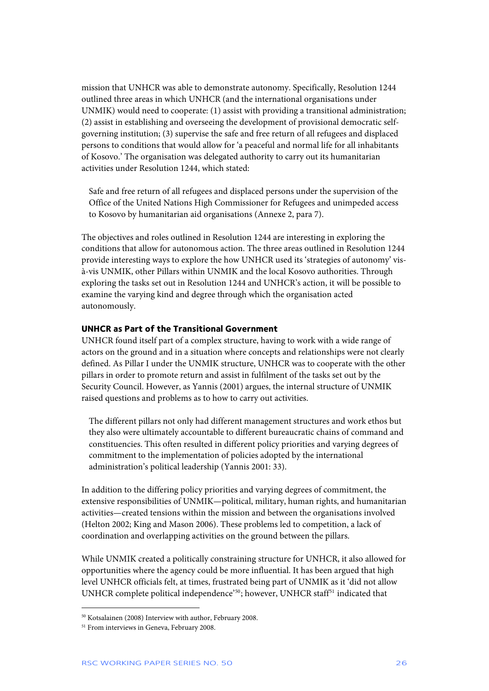<span id="page-26-0"></span>mission that UNHCR was able to demonstrate autonomy. Specifically, Resolution 1244 outlined three areas in which UNHCR (and the international organisations under UNMIK) would need to cooperate: (1) assist with providing a transitional administration; (2) assist in establishing and overseeing the development of provisional democratic selfgoverning institution; (3) supervise the safe and free return of all refugees and displaced persons to conditions that would allow for 'a peaceful and normal life for all inhabitants of Kosovo.' The organisation was delegated authority to carry out its humanitarian activities under Resolution 1244, which stated:

Safe and free return of all refugees and displaced persons under the supervision of the Office of the United Nations High Commissioner for Refugees and unimpeded access to Kosovo by humanitarian aid organisations (Annexe 2, para 7).

The objectives and roles outlined in Resolution 1244 are interesting in exploring the conditions that allow for autonomous action. The three areas outlined in Resolution 1244 provide interesting ways to explore the how UNHCR used its 'strategies of autonomy' visà-vis UNMIK, other Pillars within UNMIK and the local Kosovo authorities. Through exploring the tasks set out in Resolution 1244 and UNHCR's action, it will be possible to examine the varying kind and degree through which the organisation acted autonomously.

### **UNHCR as Part of the Transitional Government**

UNHCR found itself part of a complex structure, having to work with a wide range of actors on the ground and in a situation where concepts and relationships were not clearly defined. As Pillar I under the UNMIK structure, UNHCR was to cooperate with the other pillars in order to promote return and assist in fulfilment of the tasks set out by the Security Council. However, as Yannis (2001) argues, the internal structure of UNMIK raised questions and problems as to how to carry out activities.

The different pillars not only had different management structures and work ethos but they also were ultimately accountable to different bureaucratic chains of command and constituencies. This often resulted in different policy priorities and varying degrees of commitment to the implementation of policies adopted by the international administration's political leadership (Yannis 2001: 33).

In addition to the differing policy priorities and varying degrees of commitment, the extensive responsibilities of UNMIK—political, military, human rights, and humanitarian activities—created tensions within the mission and between the organisations involved (Helton 2002; King and Mason 2006). These problems led to competition, a lack of coordination and overlapping activities on the ground between the pillars.

While UNMIK created a politically constraining structure for UNHCR, it also allowed for opportunities where the agency could be more influential. It has been argued that high level UNHCR officials felt, at times, frustrated being part of UNMIK as it 'did not allow UNHCR complete political independence'<sup>[50](#page-26-1)</sup>; however, UNHCR staff<sup>[51](#page-26-2)</sup> indicated that

<span id="page-26-1"></span><sup>50</sup> Kotsalainen (2008) Interview with author, February 2008.

<span id="page-26-2"></span><sup>&</sup>lt;sup>51</sup> From interviews in Geneva, February 2008.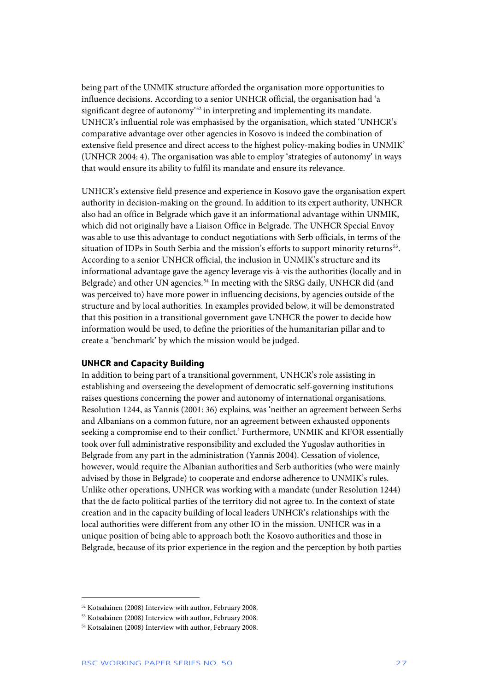<span id="page-27-0"></span>being part of the UNMIK structure afforded the organisation more opportunities to influence decisions. According to a senior UNHCR official, the organisation had 'a significant degree of autonomy<sup>[52](#page-27-1)</sup> in interpreting and implementing its mandate. UNHCR's influential role was emphasised by the organisation, which stated 'UNHCR's comparative advantage over other agencies in Kosovo is indeed the combination of extensive field presence and direct access to the highest policy-making bodies in UNMIK' (UNHCR 2004: 4). The organisation was able to employ 'strategies of autonomy' in ways that would ensure its ability to fulfil its mandate and ensure its relevance.

UNHCR's extensive field presence and experience in Kosovo gave the organisation expert authority in decision-making on the ground. In addition to its expert authority, UNHCR also had an office in Belgrade which gave it an informational advantage within UNMIK, which did not originally have a Liaison Office in Belgrade. The UNHCR Special Envoy was able to use this advantage to conduct negotiations with Serb officials, in terms of the situation of IDPs in South Serbia and the mission's efforts to support minority returns<sup>[53](#page-27-2)</sup>. According to a senior UNHCR official, the inclusion in UNMIK's structure and its informational advantage gave the agency leverage vis-à-vis the authorities (locally and in Belgrade) and other UN agencies.<sup>[54](#page-27-3)</sup> In meeting with the SRSG daily, UNHCR did (and was perceived to) have more power in influencing decisions, by agencies outside of the structure and by local authorities. In examples provided below, it will be demonstrated that this position in a transitional government gave UNHCR the power to decide how information would be used, to define the priorities of the humanitarian pillar and to create a 'benchmark' by which the mission would be judged.

### **UNHCR and Capacity Building**

In addition to being part of a transitional government, UNHCR's role assisting in establishing and overseeing the development of democratic self-governing institutions raises questions concerning the power and autonomy of international organisations. Resolution 1244, as Yannis (2001: 36) explains, was 'neither an agreement between Serbs and Albanians on a common future, nor an agreement between exhausted opponents seeking a compromise end to their conflict.' Furthermore, UNMIK and KFOR essentially took over full administrative responsibility and excluded the Yugoslav authorities in Belgrade from any part in the administration (Yannis 2004). Cessation of violence, however, would require the Albanian authorities and Serb authorities (who were mainly advised by those in Belgrade) to cooperate and endorse adherence to UNMIK's rules. Unlike other operations, UNHCR was working with a mandate (under Resolution 1244) that the de facto political parties of the territory did not agree to. In the context of state creation and in the capacity building of local leaders UNHCR's relationships with the local authorities were different from any other IO in the mission. UNHCR was in a unique position of being able to approach both the Kosovo authorities and those in Belgrade, because of its prior experience in the region and the perception by both parties

<span id="page-27-1"></span><sup>52</sup> Kotsalainen (2008) Interview with author, February 2008.

<span id="page-27-2"></span><sup>53</sup> Kotsalainen (2008) Interview with author, February 2008.

<span id="page-27-3"></span><sup>54</sup> Kotsalainen (2008) Interview with author, February 2008.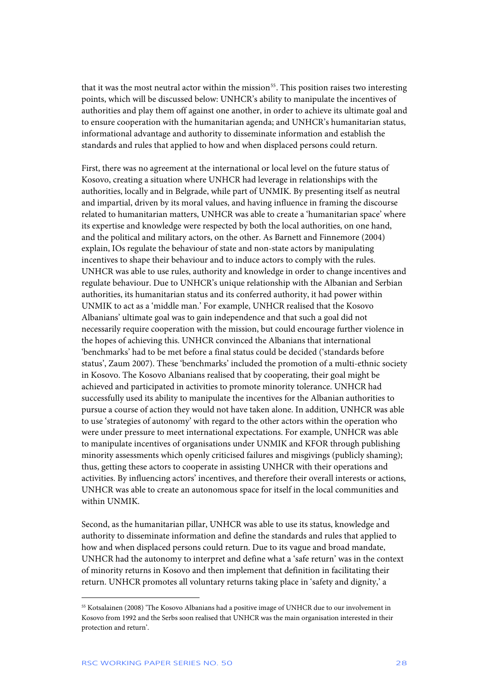that it was the most neutral actor within the mission<sup>[55](#page-28-0)</sup>. This position raises two interesting points, which will be discussed below: UNHCR's ability to manipulate the incentives of authorities and play them off against one another, in order to achieve its ultimate goal and to ensure cooperation with the humanitarian agenda; and UNHCR's humanitarian status, informational advantage and authority to disseminate information and establish the standards and rules that applied to how and when displaced persons could return.

First, there was no agreement at the international or local level on the future status of Kosovo, creating a situation where UNHCR had leverage in relationships with the authorities, locally and in Belgrade, while part of UNMIK. By presenting itself as neutral and impartial, driven by its moral values, and having influence in framing the discourse related to humanitarian matters, UNHCR was able to create a 'humanitarian space' where its expertise and knowledge were respected by both the local authorities, on one hand, and the political and military actors, on the other. As Barnett and Finnemore (2004) explain, IOs regulate the behaviour of state and non-state actors by manipulating incentives to shape their behaviour and to induce actors to comply with the rules. UNHCR was able to use rules, authority and knowledge in order to change incentives and regulate behaviour. Due to UNHCR's unique relationship with the Albanian and Serbian authorities, its humanitarian status and its conferred authority, it had power within UNMIK to act as a 'middle man.' For example, UNHCR realised that the Kosovo Albanians' ultimate goal was to gain independence and that such a goal did not necessarily require cooperation with the mission, but could encourage further violence in the hopes of achieving this. UNHCR convinced the Albanians that international 'benchmarks' had to be met before a final status could be decided ('standards before status', Zaum 2007). These 'benchmarks' included the promotion of a multi-ethnic society in Kosovo. The Kosovo Albanians realised that by cooperating, their goal might be achieved and participated in activities to promote minority tolerance. UNHCR had successfully used its ability to manipulate the incentives for the Albanian authorities to pursue a course of action they would not have taken alone. In addition, UNHCR was able to use 'strategies of autonomy' with regard to the other actors within the operation who were under pressure to meet international expectations. For example, UNHCR was able to manipulate incentives of organisations under UNMIK and KFOR through publishing minority assessments which openly criticised failures and misgivings (publicly shaming); thus, getting these actors to cooperate in assisting UNHCR with their operations and activities. By influencing actors' incentives, and therefore their overall interests or actions, UNHCR was able to create an autonomous space for itself in the local communities and within UNMIK.

Second, as the humanitarian pillar, UNHCR was able to use its status, knowledge and authority to disseminate information and define the standards and rules that applied to how and when displaced persons could return. Due to its vague and broad mandate, UNHCR had the autonomy to interpret and define what a 'safe return' was in the context of minority returns in Kosovo and then implement that definition in facilitating their return. UNHCR promotes all voluntary returns taking place in 'safety and dignity,' a

<span id="page-28-0"></span><sup>55</sup> Kotsalainen (2008) 'The Kosovo Albanians had a positive image of UNHCR due to our involvement in Kosovo from 1992 and the Serbs soon realised that UNHCR was the main organisation interested in their protection and return'.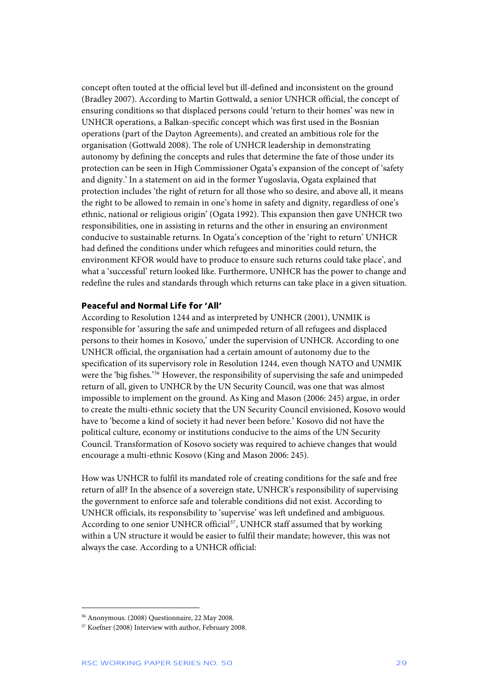<span id="page-29-0"></span>concept often touted at the official level but ill-defined and inconsistent on the ground (Bradley 2007). According to Martin Gottwald, a senior UNHCR official, the concept of ensuring conditions so that displaced persons could 'return to their homes' was new in UNHCR operations, a Balkan-specific concept which was first used in the Bosnian operations (part of the Dayton Agreements), and created an ambitious role for the organisation (Gottwald 2008). The role of UNHCR leadership in demonstrating autonomy by defining the concepts and rules that determine the fate of those under its protection can be seen in High Commissioner Ogata's expansion of the concept of 'safety and dignity.' In a statement on aid in the former Yugoslavia, Ogata explained that protection includes 'the right of return for all those who so desire, and above all, it means the right to be allowed to remain in one's home in safety and dignity, regardless of one's ethnic, national or religious origin' (Ogata 1992). This expansion then gave UNHCR two responsibilities, one in assisting in returns and the other in ensuring an environment conducive to sustainable returns. In Ogata's conception of the 'right to return' UNHCR had defined the conditions under which refugees and minorities could return, the environment KFOR would have to produce to ensure such returns could take place', and what a 'successful' return looked like. Furthermore, UNHCR has the power to change and redefine the rules and standards through which returns can take place in a given situation.

### **Peaceful and Normal Life for 'All'**

According to Resolution 1244 and as interpreted by UNHCR (2001), UNMIK is responsible for 'assuring the safe and unimpeded return of all refugees and displaced persons to their homes in Kosovo,' under the supervision of UNHCR. According to one UNHCR official, the organisation had a certain amount of autonomy due to the specification of its supervisory role in Resolution 1244, even though NATO and UNMIK were the 'big fishes.'[56](#page-29-1) However, the responsibility of supervising the safe and unimpeded return of all, given to UNHCR by the UN Security Council, was one that was almost impossible to implement on the ground. As King and Mason (2006: 245) argue, in order to create the multi-ethnic society that the UN Security Council envisioned, Kosovo would have to 'become a kind of society it had never been before.' Kosovo did not have the political culture, economy or institutions conducive to the aims of the UN Security Council. Transformation of Kosovo society was required to achieve changes that would encourage a multi-ethnic Kosovo (King and Mason 2006: 245).

How was UNHCR to fulfil its mandated role of creating conditions for the safe and free return of all? In the absence of a sovereign state, UNHCR's responsibility of supervising the government to enforce safe and tolerable conditions did not exist. According to UNHCR officials, its responsibility to 'supervise' was left undefined and ambiguous. According to one senior UNHCR official<sup>57</sup>, UNHCR staff assumed that by working within a UN structure it would be easier to fulfil their mandate; however, this was not always the case. According to a UNHCR official:

<span id="page-29-1"></span><sup>56</sup> Anonymous. (2008) Questionnaire, 22 May 2008.

<span id="page-29-2"></span><sup>57</sup> Koefner (2008) Interview with author, February 2008.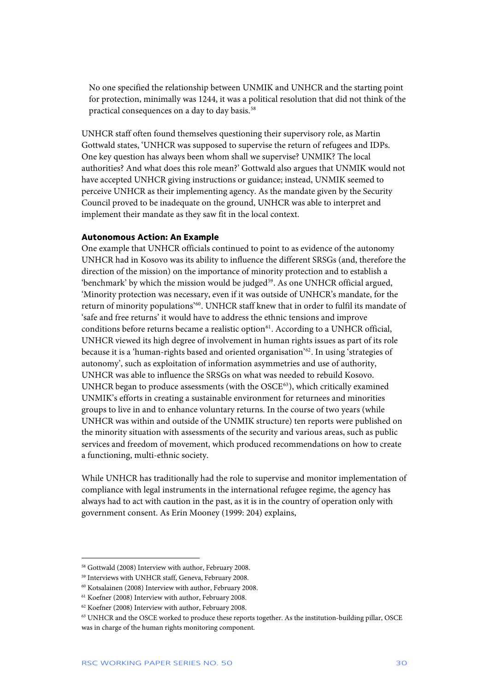<span id="page-30-0"></span>No one specified the relationship between UNMIK and UNHCR and the starting point for protection, minimally was 1244, it was a political resolution that did not think of the practical consequences on a day to day basis.<sup>[58](#page-30-1)</sup>

UNHCR staff often found themselves questioning their supervisory role, as Martin Gottwald states, 'UNHCR was supposed to supervise the return of refugees and IDPs. One key question has always been whom shall we supervise? UNMIK? The local authorities? And what does this role mean?' Gottwald also argues that UNMIK would not have accepted UNHCR giving instructions or guidance; instead, UNMIK seemed to perceive UNHCR as their implementing agency. As the mandate given by the Security Council proved to be inadequate on the ground, UNHCR was able to interpret and implement their mandate as they saw fit in the local context.

### **Autonomous Action: An Example**

One example that UNHCR officials continued to point to as evidence of the autonomy UNHCR had in Kosovo was its ability to influence the different SRSGs (and, therefore the direction of the mission) on the importance of minority protection and to establish a 'benchmark' by which the mission would be judged<sup>[59](#page-30-2)</sup>. As one UNHCR official argued, 'Minority protection was necessary, even if it was outside of UNHCR's mandate, for the return of minority populations'[60](#page-30-3). UNHCR staff knew that in order to fulfil its mandate of 'safe and free returns' it would have to address the ethnic tensions and improve conditions before returns became a realistic option<sup>[61](#page-30-4)</sup>. According to a UNHCR official, UNHCR viewed its high degree of involvement in human rights issues as part of its role because it is a 'human-rights based and oriented organisation'[62](#page-30-5). In using 'strategies of autonomy', such as exploitation of information asymmetries and use of authority, UNHCR was able to influence the SRSGs on what was needed to rebuild Kosovo. UNHCR began to produce assessments (with the  $OSEE^{63}$  $OSEE^{63}$  $OSEE^{63}$ ), which critically examined UNMIK's efforts in creating a sustainable environment for returnees and minorities groups to live in and to enhance voluntary returns. In the course of two years (while UNHCR was within and outside of the UNMIK structure) ten reports were published on the minority situation with assessments of the security and various areas, such as public services and freedom of movement, which produced recommendations on how to create a functioning, multi-ethnic society.

While UNHCR has traditionally had the role to supervise and monitor implementation of compliance with legal instruments in the international refugee regime, the agency has always had to act with caution in the past, as it is in the country of operation only with government consent. As Erin Mooney (1999: 204) explains,

<span id="page-30-1"></span><sup>58</sup> Gottwald (2008) Interview with author, February 2008.

<span id="page-30-2"></span><sup>59</sup> Interviews with UNHCR staff, Geneva, February 2008.

<span id="page-30-3"></span><sup>60</sup> Kotsalainen (2008) Interview with author, February 2008.

<span id="page-30-4"></span><sup>61</sup> Koefner (2008) Interview with author, February 2008.

<span id="page-30-5"></span><sup>62</sup> Koefner (2008) Interview with author, February 2008.

<span id="page-30-6"></span><sup>63</sup> UNHCR and the OSCE worked to produce these reports together. As the institution-building pillar, OSCE was in charge of the human rights monitoring component.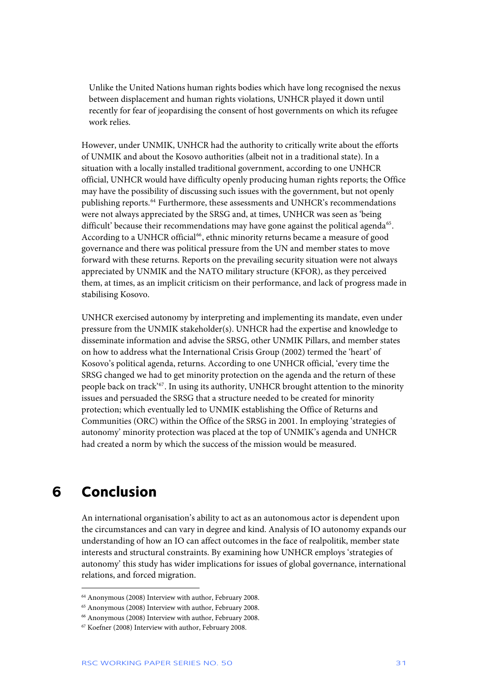<span id="page-31-0"></span>Unlike the United Nations human rights bodies which have long recognised the nexus between displacement and human rights violations, UNHCR played it down until recently for fear of jeopardising the consent of host governments on which its refugee work relies.

However, under UNMIK, UNHCR had the authority to critically write about the efforts of UNMIK and about the Kosovo authorities (albeit not in a traditional state). In a situation with a locally installed traditional government, according to one UNHCR official, UNHCR would have difficulty openly producing human rights reports; the Office may have the possibility of discussing such issues with the government, but not openly publishing reports.<sup>[64](#page-31-1)</sup> Furthermore, these assessments and UNHCR's recommendations were not always appreciated by the SRSG and, at times, UNHCR was seen as 'being difficult' because their recommendations may have gone against the political agenda<sup>[65](#page-31-2)</sup>. According to a UNHCR official<sup>[66](#page-31-3)</sup>, ethnic minority returns became a measure of good governance and there was political pressure from the UN and member states to move forward with these returns. Reports on the prevailing security situation were not always appreciated by UNMIK and the NATO military structure (KFOR), as they perceived them, at times, as an implicit criticism on their performance, and lack of progress made in stabilising Kosovo.

UNHCR exercised autonomy by interpreting and implementing its mandate, even under pressure from the UNMIK stakeholder(s). UNHCR had the expertise and knowledge to disseminate information and advise the SRSG, other UNMIK Pillars, and member states on how to address what the International Crisis Group (2002) termed the 'heart' of Kosovo's political agenda, returns. According to one UNHCR official, 'every time the SRSG changed we had to get minority protection on the agenda and the return of these people back on track'[67](#page-31-4). In using its authority, UNHCR brought attention to the minority issues and persuaded the SRSG that a structure needed to be created for minority protection; which eventually led to UNMIK establishing the Office of Returns and Communities (ORC) within the Office of the SRSG in 2001. In employing 'strategies of autonomy' minority protection was placed at the top of UNMIK's agenda and UNHCR had created a norm by which the success of the mission would be measured.

### **6 Conclusion**

j

An international organisation's ability to act as an autonomous actor is dependent upon the circumstances and can vary in degree and kind. Analysis of IO autonomy expands our understanding of how an IO can affect outcomes in the face of realpolitik, member state interests and structural constraints. By examining how UNHCR employs 'strategies of autonomy' this study has wider implications for issues of global governance, international relations, and forced migration.

<span id="page-31-1"></span><sup>64</sup> Anonymous (2008) Interview with author, February 2008.

<span id="page-31-2"></span><sup>65</sup> Anonymous (2008) Interview with author, February 2008.

<sup>66</sup> Anonymous (2008) Interview with author, February 2008.

<span id="page-31-4"></span><span id="page-31-3"></span><sup>67</sup> Koefner (2008) Interview with author, February 2008.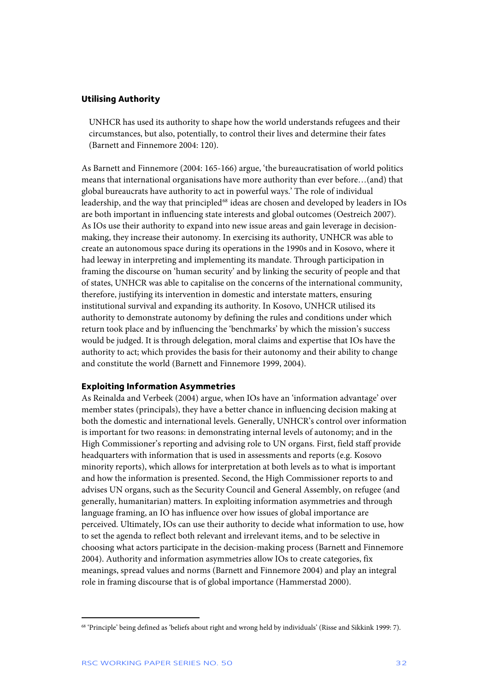### <span id="page-32-0"></span>**Utilising Authority**

UNHCR has used its authority to shape how the world understands refugees and their circumstances, but also, potentially, to control their lives and determine their fates (Barnett and Finnemore 2004: 120).

As Barnett and Finnemore (2004: 165-166) argue, 'the bureaucratisation of world politics means that international organisations have more authority than ever before…(and) that global bureaucrats have authority to act in powerful ways.' The role of individual leadership, and the way that principled<sup>[68](#page-32-1)</sup> ideas are chosen and developed by leaders in IOs are both important in influencing state interests and global outcomes (Oestreich 2007). As IOs use their authority to expand into new issue areas and gain leverage in decisionmaking, they increase their autonomy. In exercising its authority, UNHCR was able to create an autonomous space during its operations in the 1990s and in Kosovo, where it had leeway in interpreting and implementing its mandate. Through participation in framing the discourse on 'human security' and by linking the security of people and that of states, UNHCR was able to capitalise on the concerns of the international community, therefore, justifying its intervention in domestic and interstate matters, ensuring institutional survival and expanding its authority. In Kosovo, UNHCR utilised its authority to demonstrate autonomy by defining the rules and conditions under which return took place and by influencing the 'benchmarks' by which the mission's success would be judged. It is through delegation, moral claims and expertise that IOs have the authority to act; which provides the basis for their autonomy and their ability to change and constitute the world (Barnett and Finnemore 1999, 2004).

#### **Exploiting Information Asymmetries**

As Reinalda and Verbeek (2004) argue, when IOs have an 'information advantage' over member states (principals), they have a better chance in influencing decision making at both the domestic and international levels. Generally, UNHCR's control over information is important for two reasons: in demonstrating internal levels of autonomy; and in the High Commissioner's reporting and advising role to UN organs. First, field staff provide headquarters with information that is used in assessments and reports (e.g. Kosovo minority reports), which allows for interpretation at both levels as to what is important and how the information is presented. Second, the High Commissioner reports to and advises UN organs, such as the Security Council and General Assembly, on refugee (and generally, humanitarian) matters. In exploiting information asymmetries and through language framing, an IO has influence over how issues of global importance are perceived. Ultimately, IOs can use their authority to decide what information to use, how to set the agenda to reflect both relevant and irrelevant items, and to be selective in choosing what actors participate in the decision-making process (Barnett and Finnemore 2004). Authority and information asymmetries allow IOs to create categories, fix meanings, spread values and norms (Barnett and Finnemore 2004) and play an integral role in framing discourse that is of global importance (Hammerstad 2000).

<span id="page-32-1"></span><sup>68 &#</sup>x27;Principle' being defined as 'beliefs about right and wrong held by individuals' (Risse and Sikkink 1999: 7).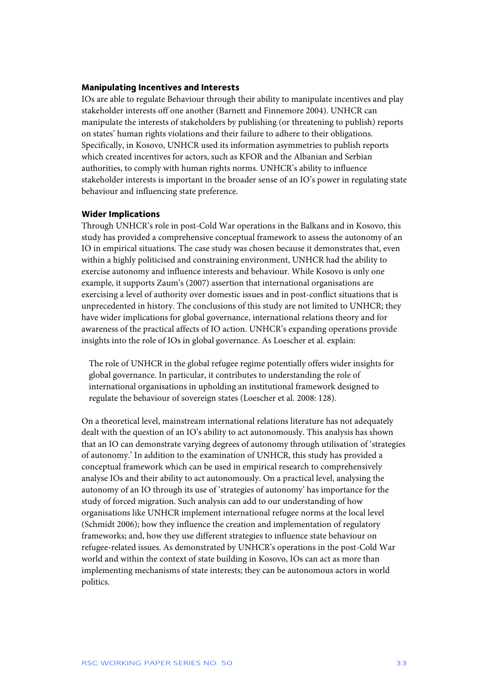### <span id="page-33-0"></span>**Manipulating Incentives and Interests**

IOs are able to regulate Behaviour through their ability to manipulate incentives and play stakeholder interests off one another (Barnett and Finnemore 2004). UNHCR can manipulate the interests of stakeholders by publishing (or threatening to publish) reports on states' human rights violations and their failure to adhere to their obligations. Specifically, in Kosovo, UNHCR used its information asymmetries to publish reports which created incentives for actors, such as KFOR and the Albanian and Serbian authorities, to comply with human rights norms. UNHCR's ability to influence stakeholder interests is important in the broader sense of an IO's power in regulating state behaviour and influencing state preference.

### **Wider Implications**

Through UNHCR's role in post-Cold War operations in the Balkans and in Kosovo, this study has provided a comprehensive conceptual framework to assess the autonomy of an IO in empirical situations. The case study was chosen because it demonstrates that, even within a highly politicised and constraining environment, UNHCR had the ability to exercise autonomy and influence interests and behaviour. While Kosovo is only one example, it supports Zaum's (2007) assertion that international organisations are exercising a level of authority over domestic issues and in post-conflict situations that is unprecedented in history. The conclusions of this study are not limited to UNHCR; they have wider implications for global governance, international relations theory and for awareness of the practical affects of IO action. UNHCR's expanding operations provide insights into the role of IOs in global governance. As Loescher et al. explain:

The role of UNHCR in the global refugee regime potentially offers wider insights for global governance. In particular, it contributes to understanding the role of international organisations in upholding an institutional framework designed to regulate the behaviour of sovereign states (Loescher et al. 2008: 128).

On a theoretical level, mainstream international relations literature has not adequately dealt with the question of an IO's ability to act autonomously. This analysis has shown that an IO can demonstrate varying degrees of autonomy through utilisation of 'strategies of autonomy.' In addition to the examination of UNHCR, this study has provided a conceptual framework which can be used in empirical research to comprehensively analyse IOs and their ability to act autonomously. On a practical level, analysing the autonomy of an IO through its use of 'strategies of autonomy' has importance for the study of forced migration. Such analysis can add to our understanding of how organisations like UNHCR implement international refugee norms at the local level (Schmidt 2006); how they influence the creation and implementation of regulatory frameworks; and, how they use different strategies to influence state behaviour on refugee-related issues. As demonstrated by UNHCR's operations in the post-Cold War world and within the context of state building in Kosovo, IOs can act as more than implementing mechanisms of state interests; they can be autonomous actors in world politics.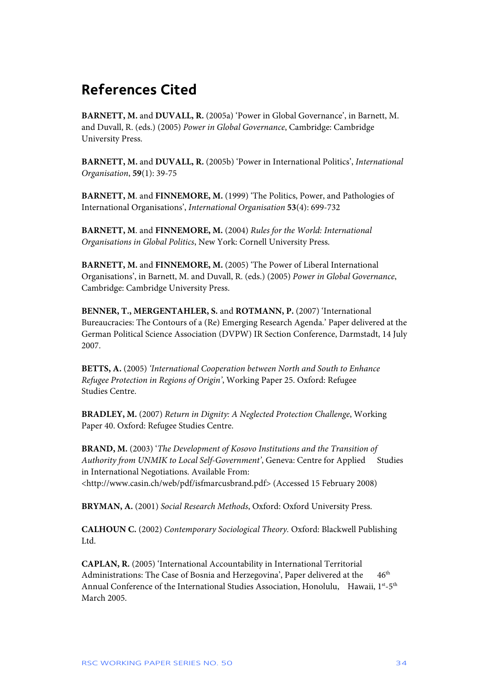## <span id="page-34-0"></span>**References Cited**

**BARNETT, M.** and **DUVALL, R.** (2005a) 'Power in Global Governance', in Barnett, M. and Duvall, R. (eds.) (2005) *Power in Global Governance*, Cambridge: Cambridge University Press.

**BARNETT, M.** and **DUVALL, R.** (2005b) 'Power in International Politics', *International Organisation*, **59**(1): 39-75

**BARNETT, M**. and **FINNEMORE, M.** (1999) 'The Politics, Power, and Pathologies of International Organisations', *International Organisation* **53**(4): 699-732

**BARNETT, M**. and **FINNEMORE, M.** (2004) *Rules for the World: International Organisations in Global Politics*, New York: Cornell University Press.

**BARNETT, M. and FINNEMORE, M.** (2005) 'The Power of Liberal International Organisations', in Barnett, M. and Duvall, R. (eds.) (2005) *Power in Global Governance*, Cambridge: Cambridge University Press.

**BENNER, T., MERGENTAHLER, S.** and **ROTMANN, P.** (2007) 'International Bureaucracies: The Contours of a (Re) Emerging Research Agenda.' Paper delivered at the German Political Science Association (DVPW) IR Section Conference, Darmstadt, 14 July 2007.

**BETTS, A.** (2005) *'International Cooperation between North and South to Enhance Refugee Protection in Regions of Origin'*, Working Paper 25. Oxford: Refugee Studies Centre.

**BRADLEY, M.** (2007) *Return in Dignity: A Neglected Protection Challenge*, Working Paper 40. Oxford: Refugee Studies Centre.

**BRAND, M.** (2003) '*The Development of Kosovo Institutions and the Transition of*  Authority from UNMIK to Local Self-Government', Geneva: Centre for Applied Studies in International Negotiations. Available From: [<http://www.casin.ch/web/pdf/isfmarcusbrand.pdf>](http://www.casin.ch/web/pdf/isfmarcusbrand.pdf) (Accessed 15 February 2008)

**BRYMAN, A.** (2001) *Social Research Methods*, Oxford: Oxford University Press.

**CALHOUN C.** (2002) *Contemporary Sociological Theory.* Oxford: Blackwell Publishing Ltd.

**CAPLAN, R.** (2005) 'International Accountability in International Territorial Administrations: The Case of Bosnia and Herzegovina', Paper delivered at the 46<sup>th</sup> Annual Conference of the International Studies Association, Honolulu, Hawaii,  $1^{st}$ - $5^{th}$ March 2005.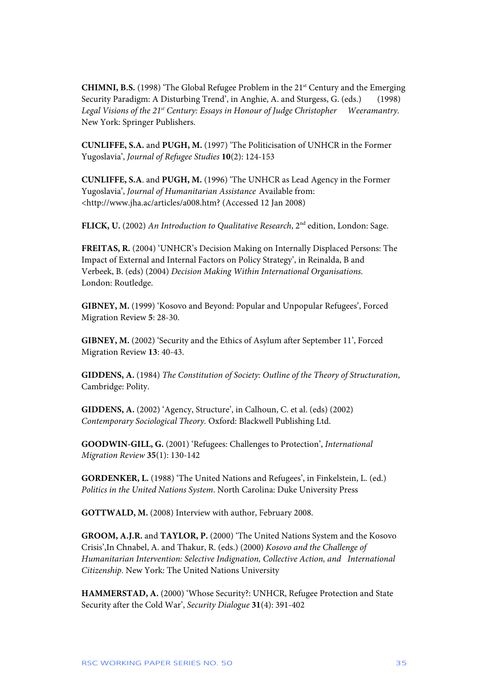**CHIMNI, B.S.** (1998) 'The Global Refugee Problem in the 21st Century and the Emerging Security Paradigm: A Disturbing Trend', in Anghie, A. and Sturgess, G. (eds.) (1998) Legal Visions of the 21<sup>st</sup> Century: Essays in Honour of Judge Christopher Weeramantry. New York: Springer Publishers.

**CUNLIFFE, S.A.** and **PUGH, M.** (1997) 'The Politicisation of UNHCR in the Former Yugoslavia', *Journal of Refugee Studies* **10**(2): 124-153

**CUNLIFFE, S.A**. and **PUGH, M.** (1996) 'The UNHCR as Lead Agency in the Former Yugoslavia', *Journal of Humanitarian Assistance* Available from: <http://www.jha.ac/articles/a008.htm? (Accessed 12 Jan 2008)

**FLICK, U.** (2002) *An Introduction to Qualitative Research*, 2nd edition, London: Sage.

**FREITAS, R.** (2004) 'UNHCR's Decision Making on Internally Displaced Persons: The Impact of External and Internal Factors on Policy Strategy', in Reinalda, B and Verbeek, B. (eds) (2004) *Decision Making Within International Organisations.* London: Routledge.

**GIBNEY, M.** (1999) 'Kosovo and Beyond: Popular and Unpopular Refugees', Forced Migration Review **5**: 28-30.

**GIBNEY, M.** (2002) 'Security and the Ethics of Asylum after September 11', Forced Migration Review **13**: 40-43.

**GIDDENS, A.** (1984) *The Constitution of Society: Outline of the Theory of Structuration*, Cambridge: Polity.

**GIDDENS, A.** (2002) 'Agency, Structure', in Calhoun, C. et al. (eds) (2002) *Contemporary Sociological Theory.* Oxford: Blackwell Publishing Ltd.

**GOODWIN-GILL, G.** (2001) 'Refugees: Challenges to Protection', *International Migration Review* **35**(1): 130-142

**GORDENKER, L.** (1988) 'The United Nations and Refugees', in Finkelstein, L. (ed.) *Politics in the United Nations System*. North Carolina: Duke University Press

**GOTTWALD, M.** (2008) Interview with author, February 2008.

**GROOM, A.J.R.** and **TAYLOR, P.** (2000) 'The United Nations System and the Kosovo Crisis',In Chnabel, A. and Thakur, R. (eds.) (2000) *Kosovo and the Challenge of Humanitarian Intervention: Selective Indignation, Collective Action, and International Citizenship.* New York: The United Nations University

**HAMMERSTAD, A.** (2000) 'Whose Security?: UNHCR, Refugee Protection and State Security after the Cold War', *Security Dialogue* **31**(4): 391-402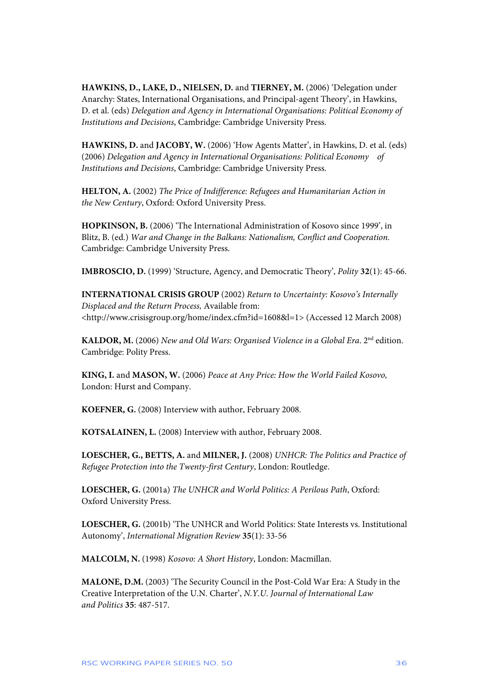**HAWKINS, D., LAKE, D., NIELSEN, D.** and **TIERNEY, M.** (2006) 'Delegation under Anarchy: States, International Organisations, and Principal-agent Theory', in Hawkins, D. et al. (eds) *Delegation and Agency in International Organisations: Political Economy of Institutions and Decisions*, Cambridge: Cambridge University Press.

**HAWKINS, D.** and **JACOBY, W.** (2006) 'How Agents Matter', in Hawkins, D. et al. (eds) (2006) *Delegation and Agency in International Organisations: Political Economy of Institutions and Decisions*, Cambridge: Cambridge University Press.

**HELTON, A.** (2002) *The Price of Indifference: Refugees and Humanitarian Action in the New Century*, Oxford: Oxford University Press.

**HOPKINSON, B.** (2006) 'The International Administration of Kosovo since 1999', in Blitz, B. (ed.) *War and Change in the Balkans: Nationalism, Conflict and Cooperation.* Cambridge: Cambridge University Press.

**IMBROSCIO, D.** (1999) 'Structure, Agency, and Democratic Theory', *Polity* **32**(1): 45-66.

**INTERNATIONAL CRISIS GROUP** (2002) *Return to Uncertainty: Kosovo's Internally Displaced and the Return Process,* Available from: [<http://www.crisisgroup.org/home/index.cfm?id=1608&l=1](http://www.crisisgroup.org/home/index.cfm?id=1608&l=1)> (Accessed 12 March 2008)

**KALDOR, M.** (2006) *New and Old Wars: Organised Violence in a Global Era*. 2nd edition. Cambridge: Polity Press.

**KING, I.** and **MASON, W.** (2006) *Peace at Any Price: How the World Failed Kosovo,* London: Hurst and Company.

**KOEFNER, G.** (2008) Interview with author, February 2008.

**KOTSALAINEN, L.** (2008) Interview with author, February 2008.

**LOESCHER, G., BETTS, A.** and **MILNER, J.** (2008) *UNHCR: The Politics and Practice of Refugee Protection into the Twenty-first Century*, London: Routledge.

**LOESCHER, G.** (2001a) *The UNHCR and World Politics: A Perilous Path*, Oxford: Oxford University Press.

**LOESCHER, G.** (2001b) 'The UNHCR and World Politics: State Interests vs. Institutional Autonomy', *International Migration Review* **35**(1): 33-56

**MALCOLM, N.** (1998) *Kosovo: A Short History*, London: Macmillan.

**MALONE, D.M.** (2003) 'The Security Council in the Post-Cold War Era: A Study in the Creative Interpretation of the U.N. Charter', *N.Y.U. Journal of International Law and Politics* **35**: 487-517.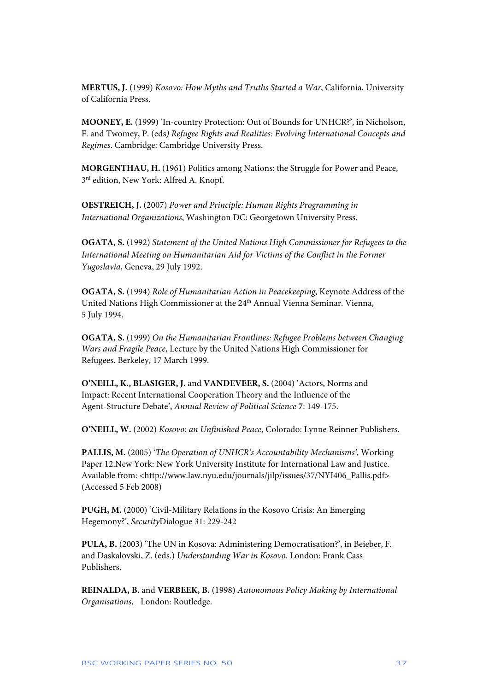**MERTUS, J.** (1999) *Kosovo: How Myths and Truths Started a War*, California, University of California Press.

**MOONEY, E.** (1999) 'In-country Protection: Out of Bounds for UNHCR?', in Nicholson, F. and Twomey, P. (eds*) Refugee Rights and Realities: Evolving International Concepts and Regimes*. Cambridge: Cambridge University Press.

**MORGENTHAU, H.** (1961) Politics among Nations: the Struggle for Power and Peace,  $3<sup>rd</sup>$  edition, New York: Alfred A. Knopf.

**OESTREICH, J.** (2007) *Power and Principle: Human Rights Programming in International Organizations*, Washington DC: Georgetown University Press.

**OGATA, S.** (1992) *Statement of the United Nations High Commissioner for Refugees to the International Meeting on Humanitarian Aid for Victims of the Conflict in the Former Yugoslavia*, Geneva, 29 July 1992.

**OGATA, S.** (1994) *Role of Humanitarian Action in Peacekeeping*, Keynote Address of the United Nations High Commissioner at the 24<sup>th</sup> Annual Vienna Seminar. Vienna, 5 July 1994.

**OGATA, S.** (1999) *On the Humanitarian Frontlines: Refugee Problems between Changing Wars and Fragile Peace*, Lecture by the United Nations High Commissioner for Refugees. Berkeley, 17 March 1999.

**O'NEILL, K., BLASIGER, J.** and **VANDEVEER, S.** (2004) 'Actors, Norms and Impact: Recent International Cooperation Theory and the Influence of the Agent-Structure Debate', *Annual Review of Political Science* **7**: 149-175.

**O'NEILL, W.** (2002) *Kosovo: an Unfinished Peace,* Colorado: Lynne Reinner Publishers.

**PALLIS, M.** (2005) '*The Operation of UNHCR's Accountability Mechanisms'*, Working Paper 12.New York: New York University Institute for International Law and Justice. Available from: <[http://www.law.nyu.edu/journals/jilp/issues/37/NYI406\\_Pallis.pdf](http://www.law.nyu.edu/journals/jilp/issues/37/NYI406_Pallis.pdf)> (Accessed 5 Feb 2008)

**PUGH, M.** (2000) 'Civil-Military Relations in the Kosovo Crisis: An Emerging Hegemony?', *Security*Dialogue 31: 229-242

**PULA, B.** (2003) 'The UN in Kosova: Administering Democratisation?', in Beieber, F. and Daskalovski, Z. (eds.) *Understanding War in Kosovo*. London: Frank Cass Publishers.

**REINALDA, B.** and **VERBEEK, B.** (1998) *Autonomous Policy Making by International Organisations*, London: Routledge.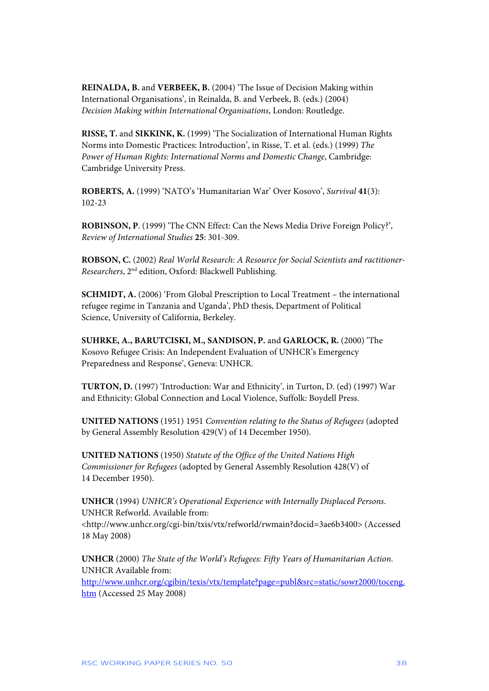**REINALDA, B.** and **VERBEEK, B.** (2004) 'The Issue of Decision Making within International Organisations', in Reinalda, B. and Verbeek, B. (eds.) (2004) *Decision Making within International Organisations*, London: Routledge.

**RISSE, T.** and **SIKKINK, K.** (1999) 'The Socialization of International Human Rights Norms into Domestic Practices: Introduction', in Risse, T. et al. (eds.) (1999) *The Power of Human Rights: International Norms and Domestic Change*, Cambridge: Cambridge University Press.

**ROBERTS, A.** (1999) 'NATO's 'Humanitarian War' Over Kosovo', *Survival* **41**(3): 102-23

**ROBINSON, P**. (1999) 'The CNN Effect: Can the News Media Drive Foreign Policy?', *Review of International Studies* **25**: 301-309.

**ROBSON, C.** (2002) *Real World Research: A Resource for Social Scientists and ractitioner-Researchers*, 2nd edition, Oxford: Blackwell Publishing.

**SCHMIDT, A.** (2006) 'From Global Prescription to Local Treatment – the international refugee regime in Tanzania and Uganda', PhD thesis, Department of Political Science, University of California, Berkeley.

**SUHRKE, A., BARUTCISKI, M., SANDISON, P.** and **GARLOCK, R.** (2000) 'The Kosovo Refugee Crisis: An Independent Evaluation of UNHCR's Emergency Preparedness and Response', Geneva: UNHCR.

**TURTON, D.** (1997) 'Introduction: War and Ethnicity', in Turton, D. (ed) (1997) War and Ethnicity: Global Connection and Local Violence, Suffolk: Boydell Press.

**UNITED NATIONS** (1951) 1951 *Convention relating to the Status of Refugees* (adopted by General Assembly Resolution 429(V) of 14 December 1950).

**UNITED NATIONS** (1950) *Statute of the Office of the United Nations High Commissioner for Refugees* (adopted by General Assembly Resolution 428(V) of 14 December 1950).

**UNHCR** (1994) *UNHCR's Operational Experience with Internally Displaced Persons*. UNHCR Refworld. Available from: <http://www.unhcr.org/cgi-bin/txis/vtx/refworld/rwmain?docid=3ae6b3400> (Accessed 18 May 2008)

**UNHCR** (2000) *The State of the World's Refugees: Fifty Years of Humanitarian Action*. UNHCR Available from:

[http://www.unhcr.org/cgibin/texis/vtx/template?page=publ&src=static/sowr2000/toceng.](http://www.unhcr.org/cgibin/texis/vtx/template?page=publ&src=static/sowr2000/toceng.htm) [htm](http://www.unhcr.org/cgibin/texis/vtx/template?page=publ&src=static/sowr2000/toceng.htm) (Accessed 25 May 2008)